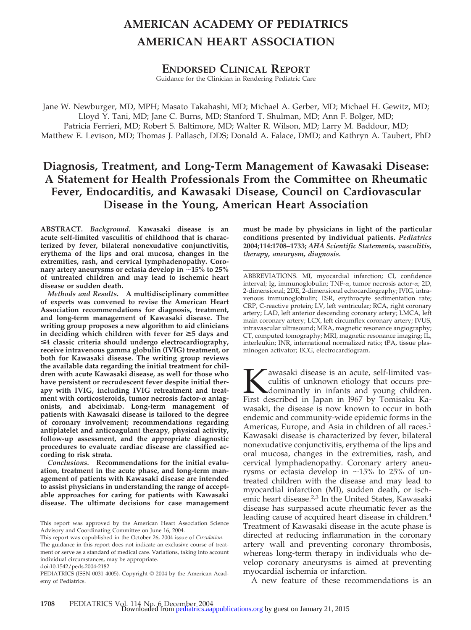# **AMERICAN ACADEMY OF PEDIATRICS AMERICAN HEART ASSOCIATION**

# **ENDORSED CLINICAL REPORT**

Guidance for the Clinician in Rendering Pediatric Care

Jane W. Newburger, MD, MPH; Masato Takahashi, MD; Michael A. Gerber, MD; Michael H. Gewitz, MD; Lloyd Y. Tani, MD; Jane C. Burns, MD; Stanford T. Shulman, MD; Ann F. Bolger, MD; Patricia Ferrieri, MD; Robert S. Baltimore, MD; Walter R. Wilson, MD; Larry M. Baddour, MD; Matthew E. Levison, MD; Thomas J. Pallasch, DDS; Donald A. Falace, DMD; and Kathryn A. Taubert, PhD

# **Diagnosis, Treatment, and Long-Term Management of Kawasaki Disease: A Statement for Health Professionals From the Committee on Rheumatic Fever, Endocarditis, and Kawasaki Disease, Council on Cardiovascular Disease in the Young, American Heart Association**

**ABSTRACT.** *Background.* **Kawasaki disease is an acute self-limited vasculitis of childhood that is characterized by fever, bilateral nonexudative conjunctivitis, erythema of the lips and oral mucosa, changes in the extremities, rash, and cervical lymphadenopathy. Coronary artery aneurysms or ectasia develop in 15% to 25% of untreated children and may lead to ischemic heart disease or sudden death.**

*Methods and Results.* **A multidisciplinary committee of experts was convened to revise the American Heart Association recommendations for diagnosis, treatment, and long-term management of Kawasaki disease. The writing group proposes a new algorithm to aid clinicians** in deciding which children with fever for  $\geq$ **5** days and <**4 classic criteria should undergo electrocardiography, receive intravenous gamma globulin (IVIG) treatment, or both for Kawasaki disease. The writing group reviews the available data regarding the initial treatment for children with acute Kawasaki disease, as well for those who have persistent or recrudescent fever despite initial therapy with IVIG, including IVIG retreatment and treat**ment with corticosteroids, tumor necrosis factor- $\alpha$  antag**onists, and abciximab. Long-term management of patients with Kawasaki disease is tailored to the degree of coronary involvement; recommendations regarding antiplatelet and anticoagulant therapy, physical activity, follow-up assessment, and the appropriate diagnostic procedures to evaluate cardiac disease are classified according to risk strata.**

*Conclusions.* **Recommendations for the initial evaluation, treatment in the acute phase, and long-term management of patients with Kawasaki disease are intended to assist physicians in understanding the range of acceptable approaches for caring for patients with Kawasaki disease. The ultimate decisions for case management**

This report was copublished in the October 26, 2004 issue of *Circulation.* The guidance in this report does not indicate an exclusive course of treatment or serve as a standard of medical care. Variations, taking into account individual circumstances, may be appropriate.

doi:10.1542/peds.2004-2182

PEDIATRICS (ISSN 0031 4005). Copyright © 2004 by the American Academy of Pediatrics.

**must be made by physicians in light of the particular conditions presented by individual patients.** *Pediatrics* **2004;114:1708–1733;** *AHA Scientific Statements, vasculitis, therapy, aneurysm, diagnosis.*

ABBREVIATIONS. MI, myocardial infarction; CI, confidence interval; Ig, immunoglobulin; TNF- $\alpha$ , tumor necrosis actor- $\alpha$ ; 2D, 2-dimensional; 2DE, 2-dimensional echocardiography; IVIG, intravenous immunoglobulin; ESR, erythrocyte sedimentation rate; CRP, C-reactive protein; LV, left ventricular; RCA, right coronary artery; LAD, left anterior descending coronary artery; LMCA, left main coronary artery; LCX, left circumflex coronary artery; IVUS, intravascular ultrasound; MRA, magnetic resonance angiography; CT, computed tomography; MRI, magnetic resonance imaging; IL, interleukin; INR, international normalized ratio; tPA, tissue plasminogen activator; ECG, electrocardiogram.

Kawasaki disease is an acute, self-limited vas-<br>culitis of unknown etiology that occurs pre-<br>first described in Iapan in 1967 by Tomisaku Kaculitis of unknown etiology that occurs predominantly in infants and young children. First described in Japan in l967 by Tomisaku Kawasaki, the disease is now known to occur in both endemic and community-wide epidemic forms in the Americas, Europe, and Asia in children of all races.<sup>1</sup> Kawasaki disease is characterized by fever, bilateral nonexudative conjunctivitis, erythema of the lips and oral mucosa, changes in the extremities, rash, and cervical lymphadenopathy. Coronary artery aneurysms or ectasia develop in  $\sim$ 15% to 25% of untreated children with the disease and may lead to myocardial infarction (MI), sudden death, or ischemic heart disease.<sup>2,3</sup> In the United States, Kawasaki disease has surpassed acute rheumatic fever as the leading cause of acquired heart disease in children.<sup>4</sup> Treatment of Kawasaki disease in the acute phase is directed at reducing inflammation in the coronary artery wall and preventing coronary thrombosis, whereas long-term therapy in individuals who develop coronary aneurysms is aimed at preventing myocardial ischemia or infarction.

A new feature of these recommendations is an

This report was approved by the American Heart Association Science Advisory and Coordinating Committee on June 16, 2004.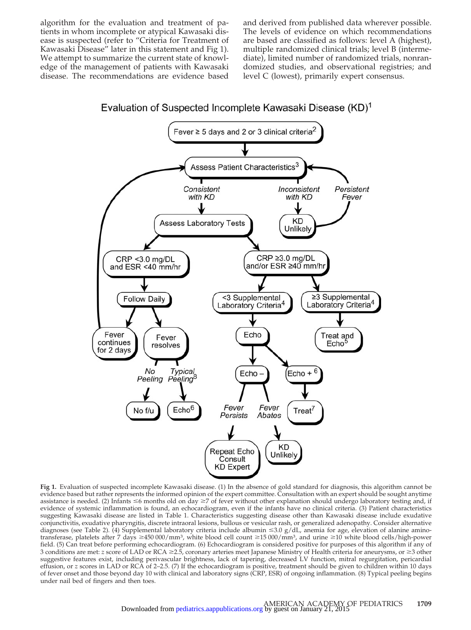algorithm for the evaluation and treatment of patients in whom incomplete or atypical Kawasaki disease is suspected (refer to "Criteria for Treatment of Kawasaki Disease" later in this statement and Fig 1). We attempt to summarize the current state of knowledge of the management of patients with Kawasaki disease. The recommendations are evidence based

and derived from published data wherever possible. The levels of evidence on which recommendations are based are classified as follows: level A (highest), multiple randomized clinical trials; level B (intermediate), limited number of randomized trials, nonrandomized studies, and observational registries; and level C (lowest), primarily expert consensus.





**Fig 1.** Evaluation of suspected incomplete Kawasaki disease. (1) In the absence of gold standard for diagnosis, this algorithm cannot be evidence based but rather represents the informed opinion of the expert committee. Consultation with an expert should be sought anytime assistance is needed. (2) Infants ≤6 months old on day ≥7 of fever without other explanation should undergo laboratory testing and, if evidence of systemic inflammation is found, an echocardiogram, even if the infants have no clinical criteria. (3) Patient characteristics suggesting Kawasaki disease are listed in Table 1. Characteristics suggesting disease other than Kawasaki disease include exudative conjunctivitis, exudative pharyngitis, discrete intraoral lesions, bullous or vesicular rash, or generalized adenopathy. Consider alternative diagnoses (see Table 2). (4) Supplemental laboratory criteria include albumin ≤3.0 g/dL, anemia for age, elevation of alanine aminotransferase, platelets after 7 days  $\geq 450\,000/\text{mm}^3$ , white blood cell count  $\geq 15\,000/\text{mm}^3$ , and urine  $\geq 10$  white blood cells/high-power field. (5) Can treat before performing echocardiogram. (6) Echocardiogram is considered positive for purposes of this algorithm if any of 3 conditions are met: *z* score of LAD or RCA ≥2.5, coronary arteries meet Japanese Ministry of Health criteria for aneurysms, or ≥3 other suggestive features exist, including perivascular brightness, lack of tapering, decreased LV function, mitral regurgitation, pericardial effusion, or *z* scores in LAD or RCA of 2–2.5. (7) If the echocardiogram is positive, treatment should be given to children within 10 days of fever onset and those beyond day 10 with clinical and laboratory signs (CRP, ESR) of ongoing inflammation. (8) Typical peeling begins under nail bed of fingers and then toes.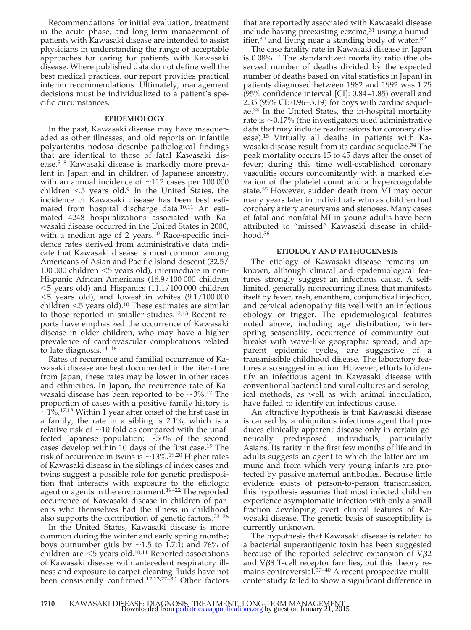Recommendations for initial evaluation, treatment in the acute phase, and long-term management of patients with Kawasaki disease are intended to assist physicians in understanding the range of acceptable approaches for caring for patients with Kawasaki disease. Where published data do not define well the best medical practices, our report provides practical interim recommendations. Ultimately, management decisions must be individualized to a patient's specific circumstances.

#### **EPIDEMIOLOGY**

In the past, Kawasaki disease may have masqueraded as other illnesses, and old reports on infantile polyarteritis nodosa describe pathological findings that are identical to those of fatal Kawasaki disease.5–8 Kawasaki disease is markedly more prevalent in Japan and in children of Japanese ancestry, with an annual incidence of  $\sim$ 112 cases per 100 000 children  $\leq$ 5 years old.<sup>9</sup> In the United States, the incidence of Kawasaki disease has been best estimated from hospital discharge data.10,11 An estimated 4248 hospitalizations associated with Kawasaki disease occurred in the United States in 2000, with a median age of 2 years.<sup>10</sup> Race-specific incidence rates derived from administrative data indicate that Kawasaki disease is most common among Americans of Asian and Pacific Island descent (32.5/ 100 000 children -5 years old), intermediate in non-Hispanic African Americans (16.9/100 000 children -5 years old) and Hispanics (11.1/100 000 children -5 years old), and lowest in whites (9.1/100 000 children -5 years old).10 These estimates are similar to those reported in smaller studies.<sup>12,13</sup> Recent reports have emphasized the occurrence of Kawasaki disease in older children, who may have a higher prevalence of cardiovascular complications related to late diagnosis.14–16

Rates of recurrence and familial occurrence of Kawasaki disease are best documented in the literature from Japan; these rates may be lower in other races and ethnicities. In Japan, the recurrence rate of Kawasaki disease has been reported to be  $\sim$ 3%.<sup>17</sup> The proportion of cases with a positive family history is  $\sim$ 1%.<sup>17,18</sup> Within 1 year after onset of the first case in a family, the rate in a sibling is 2.1%, which is a relative risk of  $\sim$ 10-fold as compared with the unaffected Japanese population;  $\sim 50\%$  of the second cases develop within 10 days of the first case.19 The risk of occurrence in twins is  $\sim$ 13%.<sup>19,20</sup> Higher rates of Kawasaki disease in the siblings of index cases and twins suggest a possible role for genetic predisposition that interacts with exposure to the etiologic agent or agents in the environment.19–22 The reported occurrence of Kawasaki disease in children of parents who themselves had the illness in childhood also supports the contribution of genetic factors.23–26

In the United States, Kawasaki disease is more common during the winter and early spring months; boys outnumber girls by  $\sim$ 1.5 to 1.7:1; and 76% of children are  $\leq$ 5 years old.<sup>10,11</sup> Reported associations of Kawasaki disease with antecedent respiratory illness and exposure to carpet-cleaning fluids have not been consistently confirmed.12,13,27–30 Other factors

that are reportedly associated with Kawasaki disease include having preexisting eczema,<sup>31</sup> using a humidifier, $30$  and living near a standing body of water. $32$ 

The case fatality rate in Kawasaki disease in Japan is 0.08%.17 The standardized mortality ratio (the observed number of deaths divided by the expected number of deaths based on vital statistics in Japan) in patients diagnosed between 1982 and 1992 was 1.25 (95% confidence interval [CI]: 0.84 –1.85) overall and 2.35 (95% CI: 0.96 –5.19) for boys with cardiac sequelae.33 In the United States, the in-hospital mortality rate is  $\sim$  0.17% (the investigators used administrative data that may include readmissions for coronary disease).15 Virtually all deaths in patients with Kawasaki disease result from its cardiac sequelae.34 The peak mortality occurs 15 to 45 days after the onset of fever; during this time well-established coronary vasculitis occurs concomitantly with a marked elevation of the platelet count and a hypercoagulable state.35 However, sudden death from MI may occur many years later in individuals who as children had coronary artery aneurysms and stenoses. Many cases of fatal and nonfatal MI in young adults have been attributed to "missed" Kawasaki disease in childhood.<sup>36</sup>

#### **ETIOLOGY AND PATHOGENESIS**

The etiology of Kawasaki disease remains unknown, although clinical and epidemiological features strongly suggest an infectious cause. A selflimited, generally nonrecurring illness that manifests itself by fever, rash, enanthem, conjunctival injection, and cervical adenopathy fits well with an infectious etiology or trigger. The epidemiological features noted above, including age distribution, winterspring seasonality, occurrence of community outbreaks with wave-like geographic spread, and apparent epidemic cycles, are suggestive of a transmissible childhood disease. The laboratory features also suggest infection. However, efforts to identify an infectious agent in Kawasaki disease with conventional bacterial and viral cultures and serological methods, as well as with animal inoculation, have failed to identify an infectious cause.

An attractive hypothesis is that Kawasaki disease is caused by a ubiquitous infectious agent that produces clinically apparent disease only in certain genetically predisposed individuals, particularly Asians. Its rarity in the first few months of life and in adults suggests an agent to which the latter are immune and from which very young infants are protected by passive maternal antibodies. Because little evidence exists of person-to-person transmission, this hypothesis assumes that most infected children experience asymptomatic infection with only a small fraction developing overt clinical features of Kawasaki disease. The genetic basis of susceptibility is currently unknown.

The hypothesis that Kawasaki disease is related to a bacterial superantigenic toxin has been suggested because of the reported selective expansion of  $V\beta2$ and  $V\beta8$  T-cell receptor families, but this theory remains controversial.<sup>37-40</sup> A recent prospective multicenter study failed to show a significant difference in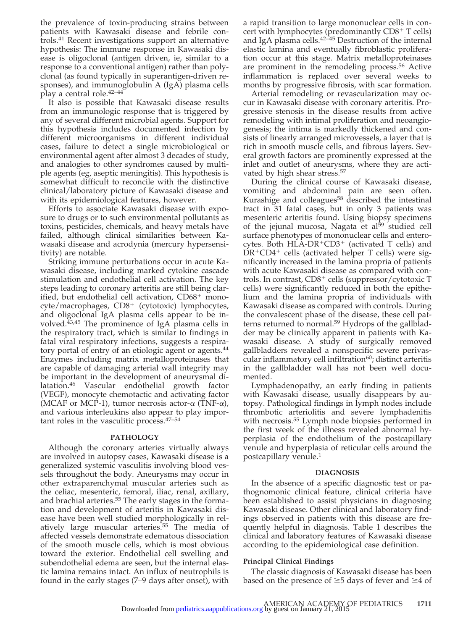the prevalence of toxin-producing strains between patients with Kawasaki disease and febrile controls.41 Recent investigations support an alternative hypothesis: The immune response in Kawasaki disease is oligoclonal (antigen driven, ie, similar to a response to a conventional antigen) rather than polyclonal (as found typically in superantigen-driven responses), and immunoglobulin A (IgA) plasma cells play a central role.42–44

It also is possible that Kawasaki disease results from an immunologic response that is triggered by any of several different microbial agents. Support for this hypothesis includes documented infection by different microorganisms in different individual cases, failure to detect a single microbiological or environmental agent after almost 3 decades of study, and analogies to other syndromes caused by multiple agents (eg, aseptic meningitis). This hypothesis is somewhat difficult to reconcile with the distinctive clinical/laboratory picture of Kawasaki disease and with its epidemiological features, however.

Efforts to associate Kawasaki disease with exposure to drugs or to such environmental pollutants as toxins, pesticides, chemicals, and heavy metals have failed, although clinical similarities between Kawasaki disease and acrodynia (mercury hypersensitivity) are notable.

Striking immune perturbations occur in acute Kawasaki disease, including marked cytokine cascade stimulation and endothelial cell activation. The key steps leading to coronary arteritis are still being clarified, but endothelial cell activation,  $CD68<sup>+</sup>$  monocyte/macrophages, CD8<sup>+</sup> (cytotoxic) lymphocytes, and oligoclonal IgA plasma cells appear to be involved.<sup>43,45</sup> The prominence of IgA plasma cells in the respiratory tract, which is similar to findings in fatal viral respiratory infections, suggests a respiratory portal of entry of an etiologic agent or agents.<sup>44</sup> Enzymes including matrix metalloproteinases that are capable of damaging arterial wall integrity may be important in the development of aneurysmal dilatation.46 Vascular endothelial growth factor (VEGF), monocyte chemotactic and activating factor (MCAF or MCP-1), tumor necrosis actor- $\alpha$  (TNF- $\alpha$ ), and various interleukins also appear to play important roles in the vasculitic process.47–54

# **PATHOLOGY**

Although the coronary arteries virtually always are involved in autopsy cases, Kawasaki disease is a generalized systemic vasculitis involving blood vessels throughout the body. Aneurysms may occur in other extraparenchymal muscular arteries such as the celiac, mesenteric, femoral, iliac, renal, axillary, and brachial arteries.<sup>55</sup> The early stages in the formation and development of arteritis in Kawasaki disease have been well studied morphologically in relatively large muscular arteries.<sup>55</sup> The media of affected vessels demonstrate edematous dissociation of the smooth muscle cells, which is most obvious toward the exterior. Endothelial cell swelling and subendothelial edema are seen, but the internal elastic lamina remains intact. An influx of neutrophils is found in the early stages (7–9 days after onset), with

a rapid transition to large mononuclear cells in concert with lymphocytes (predominantly  $CDS+T$  cells) and IgA plasma cells.<sup>42–45</sup> Destruction of the internal elastic lamina and eventually fibroblastic proliferation occur at this stage. Matrix metalloproteinases are prominent in the remodeling process.<sup>56</sup> Active inflammation is replaced over several weeks to months by progressive fibrosis, with scar formation.

Arterial remodeling or revascularization may occur in Kawasaki disease with coronary arteritis. Progressive stenosis in the disease results from active remodeling with intimal proliferation and neoangiogenesis; the intima is markedly thickened and consists of linearly arranged microvessels, a layer that is rich in smooth muscle cells, and fibrous layers. Several growth factors are prominently expressed at the inlet and outlet of aneurysms, where they are activated by high shear stress.<sup>57</sup>

During the clinical course of Kawasaki disease, vomiting and abdominal pain are seen often. Kurashige and colleagues<sup>58</sup> described the intestinal tract in 31 fatal cases, but in only 3 patients was mesenteric arteritis found. Using biopsy specimens of the jejunal mucosa, Nagata et al<sup>59</sup> studied cell surface phenotypes of mononuclear cells and enterocytes. Both HLA-DR+CD3+ (activated T cells) and  $DR+CD4+$  cells (activated helper T cells) were significantly increased in the lamina propria of patients with acute Kawasaki disease as compared with controls. In contrast, CD8<sup>+</sup> cells (suppressor/cytotoxic T cells) were significantly reduced in both the epithelium and the lamina propria of individuals with Kawasaki disease as compared with controls. During the convalescent phase of the disease, these cell patterns returned to normal.59 Hydrops of the gallbladder may be clinically apparent in patients with Kawasaki disease. A study of surgically removed gallbladders revealed a nonspecific severe perivascular inflammatory cell infiltration<sup>60</sup>; distinct arteritis in the gallbladder wall has not been well documented.

Lymphadenopathy, an early finding in patients with Kawasaki disease, usually disappears by autopsy. Pathological findings in lymph nodes include thrombotic arteriolitis and severe lymphadenitis with necrosis.<sup>55</sup> Lymph node biopsies performed in the first week of the illness revealed abnormal hyperplasia of the endothelium of the postcapillary venule and hyperplasia of reticular cells around the postcapillary venule.1

# **DIAGNOSIS**

In the absence of a specific diagnostic test or pathognomonic clinical feature, clinical criteria have been established to assist physicians in diagnosing Kawasaki disease. Other clinical and laboratory findings observed in patients with this disease are frequently helpful in diagnosis. Table 1 describes the clinical and laboratory features of Kawasaki disease according to the epidemiological case definition.

# **Principal Clinical Findings**

The classic diagnosis of Kawasaki disease has been based on the presence of  $\geq$ 5 days of fever and  $\geq$ 4 of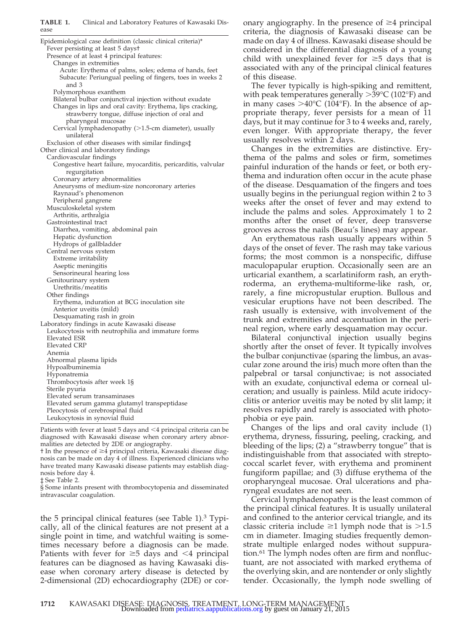| Epidemiological case definition (classic clinical criteria)*            |
|-------------------------------------------------------------------------|
| Fever persisting at least 5 days <sup>+</sup>                           |
| Presence of at least 4 principal features:                              |
| Changes in extremities                                                  |
| Acute: Erythema of palms, soles; edema of hands, feet                   |
| Subacute: Periungual peeling of fingers, toes in weeks 2                |
| and 3                                                                   |
| Polymorphous exanthem                                                   |
| Bilateral bulbar conjunctival injection without exudate                 |
| Changes in lips and oral cavity: Erythema, lips cracking,               |
| strawberry tongue, diffuse injection of oral and                        |
| pharyngeal mucosae                                                      |
| Cervical lymphadenopathy (>1.5-cm diameter), usually                    |
| unilateral                                                              |
| Exclusion of other diseases with similar findings <sup>+</sup>          |
| Other clinical and laboratory findings                                  |
| Cardiovascular findings                                                 |
| Congestive heart failure, myocarditis, pericarditis, valvular           |
| regurgitation                                                           |
| Coronary artery abnormalities                                           |
| Aneurysms of medium-size noncoronary arteries                           |
| Raynaud's phenomenon                                                    |
| Peripheral gangrene                                                     |
| Musculoskeletal system                                                  |
| Arthritis, arthralgia                                                   |
| Gastrointestinal tract                                                  |
| Diarrhea, vomiting, abdominal pain                                      |
| Hepatic dysfunction                                                     |
| Hydrops of gallbladder                                                  |
| Central nervous system                                                  |
| Extreme irritability                                                    |
| Aseptic meningitis                                                      |
| Sensorineural hearing loss                                              |
| Genitourinary system                                                    |
| Urethritis/meatitis                                                     |
| Other findings                                                          |
| Erythema, induration at BCG inoculation site<br>Anterior uveitis (mild) |
| Desquamating rash in groin                                              |
| Laboratory findings in acute Kawasaki disease                           |
| Leukocytosis with neutrophilia and immature forms                       |
| <b>Elevated ESR</b>                                                     |
| Elevated CRP                                                            |
| Anemia                                                                  |
| Abnormal plasma lipids                                                  |
| Hypoalbuminemia                                                         |
| Hyponatremia                                                            |
| Thrombocytosis after week 1§                                            |
| Sterile pyuria                                                          |
| Elevated serum transaminases                                            |
| Elevated serum gamma glutamyl transpeptidase                            |
| Pleocytosis of cerebrospinal fluid                                      |
| Leukocytosis in synovial fluid                                          |
|                                                                         |

Patients with fever at least 5 days and <4 principal criteria can be diagnosed with Kawasaki disease when coronary artery abnormalities are detected by 2DE or angiography.

 $\dagger$  In the presence of  $\geq 4$  principal criteria, Kawasaki disease diagnosis can be made on day 4 of illness. Experienced clinicians who have treated many Kawasaki disease patients may establish diagnosis before day 4.

‡ See Table 2.

§ Some infants present with thrombocytopenia and disseminated intravascular coagulation.

the 5 principal clinical features (see Table  $1$ ).<sup>3</sup> Typically, all of the clinical features are not present at a single point in time, and watchful waiting is sometimes necessary before a diagnosis can be made. Patients with fever for  $\geq$ 5 days and  $\leq$ 4 principal features can be diagnosed as having Kawasaki disease when coronary artery disease is detected by 2-dimensional (2D) echocardiography (2DE) or coronary angiography. In the presence of  $\geq 4$  principal criteria, the diagnosis of Kawasaki disease can be made on day 4 of illness. Kawasaki disease should be considered in the differential diagnosis of a young child with unexplained fever for  $\geq$ 5 days that is associated with any of the principal clinical features of this disease.

The fever typically is high-spiking and remittent, with peak temperatures generally  $>39^{\circ}C$  (102 $^{\circ}F$ ) and in many cases  $>40^{\circ}$ C (104 $^{\circ}$ F). In the absence of appropriate therapy, fever persists for a mean of 11 days, but it may continue for 3 to 4 weeks and, rarely, even longer. With appropriate therapy, the fever usually resolves within 2 days.

Changes in the extremities are distinctive. Erythema of the palms and soles or firm, sometimes painful induration of the hands or feet, or both erythema and induration often occur in the acute phase of the disease. Desquamation of the fingers and toes usually begins in the periungual region within 2 to 3 weeks after the onset of fever and may extend to include the palms and soles. Approximately 1 to 2 months after the onset of fever, deep transverse grooves across the nails (Beau's lines) may appear.

An erythematous rash usually appears within 5 days of the onset of fever. The rash may take various forms; the most common is a nonspecific, diffuse maculopapular eruption. Occasionally seen are an urticarial exanthem, a scarlatiniform rash, an erythroderma, an erythema-multiforme-like rash, or, rarely, a fine micropustular eruption. Bullous and vesicular eruptions have not been described. The rash usually is extensive, with involvement of the trunk and extremities and accentuation in the perineal region, where early desquamation may occur.

Bilateral conjunctival injection usually begins shortly after the onset of fever. It typically involves the bulbar conjunctivae (sparing the limbus, an avascular zone around the iris) much more often than the palpebral or tarsal conjunctivae; is not associated with an exudate, conjunctival edema or corneal ulceration; and usually is painless. Mild acute iridocyclitis or anterior uveitis may be noted by slit lamp; it resolves rapidly and rarely is associated with photophobia or eye pain.

Changes of the lips and oral cavity include (1) erythema, dryness, fissuring, peeling, cracking, and bleeding of the lips; (2) a "strawberry tongue" that is indistinguishable from that associated with streptococcal scarlet fever, with erythema and prominent fungiform papillae; and (3) diffuse erythema of the oropharyngeal mucosae. Oral ulcerations and pharyngeal exudates are not seen.

Cervical lymphadenopathy is the least common of the principal clinical features. It is usually unilateral and confined to the anterior cervical triangle, and its classic criteria include  $\geq$ 1 lymph node that is  $>$ 1.5 cm in diameter. Imaging studies frequently demonstrate multiple enlarged nodes without suppuration.<sup>61</sup> The lymph nodes often are firm and nonfluctuant, are not associated with marked erythema of the overlying skin, and are nontender or only slightly tender. Occasionally, the lymph node swelling of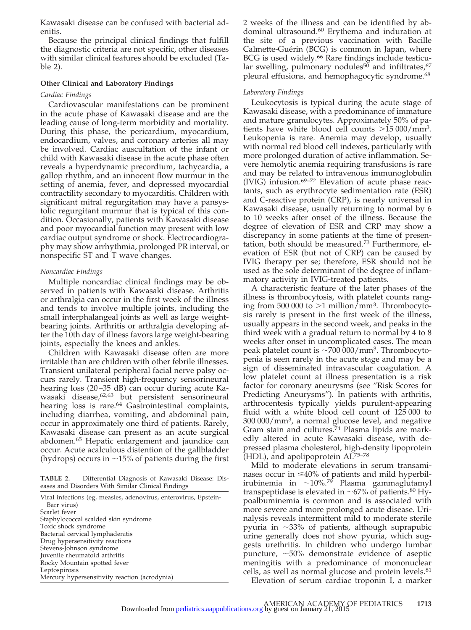Kawasaki disease can be confused with bacterial adenitis.

Because the principal clinical findings that fulfill the diagnostic criteria are not specific, other diseases with similar clinical features should be excluded (Table 2).

#### **Other Clinical and Laboratory Findings**

#### *Cardiac Findings*

Cardiovascular manifestations can be prominent in the acute phase of Kawasaki disease and are the leading cause of long-term morbidity and mortality. During this phase, the pericardium, myocardium, endocardium, valves, and coronary arteries all may be involved. Cardiac auscultation of the infant or child with Kawasaki disease in the acute phase often reveals a hyperdynamic precordium, tachycardia, a gallop rhythm, and an innocent flow murmur in the setting of anemia, fever, and depressed myocardial contractility secondary to myocarditis. Children with significant mitral regurgitation may have a pansystolic regurgitant murmur that is typical of this condition. Occasionally, patients with Kawasaki disease and poor myocardial function may present with low cardiac output syndrome or shock. Electrocardiography may show arrhythmia, prolonged PR interval, or nonspecific ST and T wave changes.

#### *Noncardiac Findings*

Multiple noncardiac clinical findings may be observed in patients with Kawasaki disease. Arthritis or arthralgia can occur in the first week of the illness and tends to involve multiple joints, including the small interphalangeal joints as well as large weightbearing joints. Arthritis or arthralgia developing after the 10th day of illness favors large weight-bearing joints, especially the knees and ankles.

Children with Kawasaki disease often are more irritable than are children with other febrile illnesses. Transient unilateral peripheral facial nerve palsy occurs rarely. Transient high-frequency sensorineural hearing loss (20–35 dB) can occur during acute Kawasaki disease, $62,63$  but persistent sensorineural hearing loss is rare.<sup>64</sup> Gastrointestinal complaints, including diarrhea, vomiting, and abdominal pain, occur in approximately one third of patients. Rarely, Kawasaki disease can present as an acute surgical abdomen.65 Hepatic enlargement and jaundice can occur. Acute acalculous distention of the gallbladder (hydrops) occurs in  $\sim$ 15% of patients during the first

**TABLE 2.** Differential Diagnosis of Kawasaki Disease: Diseases and Disorders With Similar Clinical Findings

| Viral infections (eg, measles, adenovirus, enterovirus, Epstein-<br>Barr virus) |
|---------------------------------------------------------------------------------|
| Scarlet fever                                                                   |
| Staphylococcal scalded skin syndrome                                            |
| Toxic shock syndrome                                                            |
| Bacterial cervical lymphadenitis                                                |
| Drug hypersensitivity reactions                                                 |
| Stevens-Johnson syndrome                                                        |
| Juvenile rheumatoid arthritis                                                   |
| Rocky Mountain spotted fever                                                    |
| Leptospirosis                                                                   |
| Mercury hypersensitivity reaction (acrodynia)                                   |

2 weeks of the illness and can be identified by abdominal ultrasound.<sup>60</sup> Erythema and induration at the site of a previous vaccination with Bacille Calmette-Guérin (BCG) is common in Japan, where BCG is used widely.<sup>66</sup> Rare findings include testicular swelling, pulmonary nodules<sup>50</sup> and infiltrates,  $67$ pleural effusions, and hemophagocytic syndrome.<sup>68</sup>

#### *Laboratory Findings*

Leukocytosis is typical during the acute stage of Kawasaki disease, with a predominance of immature and mature granulocytes. Approximately 50% of patients have white blood cell counts  $>15\,000/\text{mm}^3$ . Leukopenia is rare. Anemia may develop, usually with normal red blood cell indexes, particularly with more prolonged duration of active inflammation. Severe hemolytic anemia requiring transfusions is rare and may be related to intravenous immunoglobulin (IVIG) infusion.69–72 Elevation of acute phase reactants, such as erythrocyte sedimentation rate (ESR) and C-reactive protein (CRP), is nearly universal in Kawasaki disease, usually returning to normal by 6 to 10 weeks after onset of the illness. Because the degree of elevation of ESR and CRP may show a discrepancy in some patients at the time of presentation, both should be measured.73 Furthermore, elevation of ESR (but not of CRP) can be caused by IVIG therapy per se; therefore, ESR should not be used as the sole determinant of the degree of inflammatory activity in IVIG-treated patients.

A characteristic feature of the later phases of the illness is thrombocytosis, with platelet counts ranging from 500 000 to  $>1$  million/mm<sup>3</sup>. Thrombocytosis rarely is present in the first week of the illness, usually appears in the second week, and peaks in the third week with a gradual return to normal by 4 to 8 weeks after onset in uncomplicated cases. The mean peak platelet count is  $\sim$  700 000/mm<sup>3</sup>. Thrombocytopenia is seen rarely in the acute stage and may be a sign of disseminated intravascular coagulation. A low platelet count at illness presentation is a risk factor for coronary aneurysms (see "Risk Scores for Predicting Aneurysms"). In patients with arthritis, arthrocentesis typically yields purulent-appearing fluid with a white blood cell count of 125 000 to  $300\,000/\text{mm}^3$ , a normal glucose level, and negative Gram stain and cultures.74 Plasma lipids are markedly altered in acute Kawasaki disease, with depressed plasma cholesterol, high-density lipoprotein (HDL), and apolipoprotein AI.75–78

Mild to moderate elevations in serum transaminases occur in  $\leq$ 40% of patients and mild hyperbilirubinemia in  $\sim$ 10%.<sup>79</sup> Plasma gammaglutamyl transpeptidase is elevated in  $\sim$  67% of patients.<sup>80</sup> Hypoalbuminemia is common and is associated with more severe and more prolonged acute disease. Urinalysis reveals intermittent mild to moderate sterile pyuria in  $\sim$ 33% of patients, although suprapubic urine generally does not show pyuria, which suggests urethritis. In children who undergo lumbar puncture,  $\sim$ 50% demonstrate evidence of aseptic meningitis with a predominance of mononuclear cells, as well as normal glucose and protein levels.81

Elevation of serum cardiac troponin I, a marker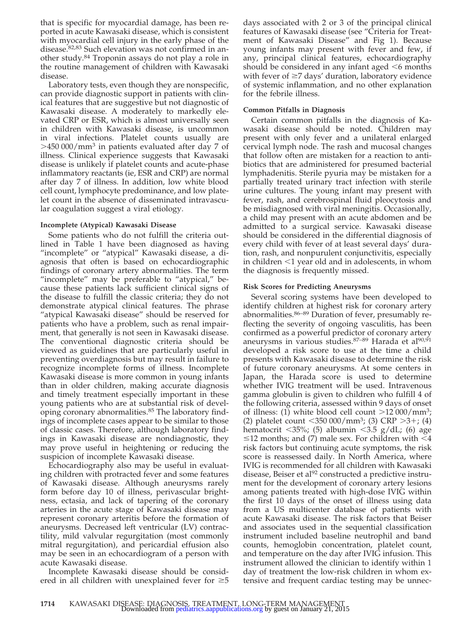that is specific for myocardial damage, has been reported in acute Kawasaki disease, which is consistent with myocardial cell injury in the early phase of the disease.82,83 Such elevation was not confirmed in another study.84 Troponin assays do not play a role in the routine management of children with Kawasaki disease.

Laboratory tests, even though they are nonspecific, can provide diagnostic support in patients with clinical features that are suggestive but not diagnostic of Kawasaki disease. A moderately to markedly elevated CRP or ESR, which is almost universally seen in children with Kawasaki disease, is uncommon in viral infections. Platelet counts usually are  $>450\,000/\text{mm}^3$  in patients evaluated after day 7 of illness. Clinical experience suggests that Kawasaki disease is unlikely if platelet counts and acute-phase inflammatory reactants (ie, ESR and CRP) are normal after day 7 of illness. In addition, low white blood cell count, lymphocyte predominance, and low platelet count in the absence of disseminated intravascular coagulation suggest a viral etiology.

# **Incomplete (Atypical) Kawasaki Disease**

Some patients who do not fulfill the criteria outlined in Table 1 have been diagnosed as having "incomplete" or "atypical" Kawasaki disease, a diagnosis that often is based on echocardiographic findings of coronary artery abnormalities. The term "incomplete" may be preferable to "atypical," because these patients lack sufficient clinical signs of the disease to fulfill the classic criteria; they do not demonstrate atypical clinical features. The phrase "atypical Kawasaki disease" should be reserved for patients who have a problem, such as renal impairment, that generally is not seen in Kawasaki disease. The conventional diagnostic criteria should be viewed as guidelines that are particularly useful in preventing overdiagnosis but may result in failure to recognize incomplete forms of illness. Incomplete Kawasaki disease is more common in young infants than in older children, making accurate diagnosis and timely treatment especially important in these young patients who are at substantial risk of developing coronary abnormalities.85 The laboratory findings of incomplete cases appear to be similar to those of classic cases. Therefore, although laboratory findings in Kawasaki disease are nondiagnostic, they may prove useful in heightening or reducing the suspicion of incomplete Kawasaki disease.

Echocardiography also may be useful in evaluating children with protracted fever and some features of Kawasaki disease. Although aneurysms rarely form before day 10 of illness, perivascular brightness, ectasia, and lack of tapering of the coronary arteries in the acute stage of Kawasaki disease may represent coronary arteritis before the formation of aneurysms. Decreased left ventricular (LV) contractility, mild valvular regurgitation (most commonly mitral regurgitation), and pericardial effusion also may be seen in an echocardiogram of a person with acute Kawasaki disease.

Incomplete Kawasaki disease should be considered in all children with unexplained fever for  $\geq 5$ 

days associated with 2 or 3 of the principal clinical features of Kawasaki disease (see "Criteria for Treatment of Kawasaki Disease" and Fig 1). Because young infants may present with fever and few, if any, principal clinical features, echocardiography should be considered in any infant aged  $\leq$ 6 months with fever of  $\geq$ 7 days' duration, laboratory evidence of systemic inflammation, and no other explanation for the febrile illness.

# **Common Pitfalls in Diagnosis**

Certain common pitfalls in the diagnosis of Kawasaki disease should be noted. Children may present with only fever and a unilateral enlarged cervical lymph node. The rash and mucosal changes that follow often are mistaken for a reaction to antibiotics that are administered for presumed bacterial lymphadenitis. Sterile pyuria may be mistaken for a partially treated urinary tract infection with sterile urine cultures. The young infant may present with fever, rash, and cerebrospinal fluid pleocytosis and be misdiagnosed with viral meningitis. Occasionally, a child may present with an acute abdomen and be admitted to a surgical service. Kawasaki disease should be considered in the differential diagnosis of every child with fever of at least several days' duration, rash, and nonpurulent conjunctivitis, especially in children -1 year old and in adolescents, in whom the diagnosis is frequently missed.

# **Risk Scores for Predicting Aneurysms**

Several scoring systems have been developed to identify children at highest risk for coronary artery abnormalities.86–89 Duration of fever, presumably reflecting the severity of ongoing vasculitis, has been confirmed as a powerful predictor of coronary artery aneurysms in various studies.<sup>87-89</sup> Harada et al<sup>90,91</sup> developed a risk score to use at the time a child presents with Kawasaki disease to determine the risk of future coronary aneurysms. At some centers in Japan, the Harada score is used to determine whether IVIG treatment will be used. Intravenous gamma globulin is given to children who fulfill 4 of the following criteria, assessed within 9 days of onset of illness: (1) white blood cell count  $>12\,000/mm^3$ ; (2) platelet count < 350 000/mm<sup>3</sup>; (3) CRP > 3+; (4) hematocrit -35%; (5) albumin -3.5 g/dL; (6) age  $\leq$ 12 months; and (7) male sex. For children with  $\leq$ 4 risk factors but continuing acute symptoms, the risk score is reassessed daily. In North America, where IVIG is recommended for all children with Kawasaki disease, Beiser et al<sup>92</sup> constructed a predictive instrument for the development of coronary artery lesions among patients treated with high-dose IVIG within the first 10 days of the onset of illness using data from a US multicenter database of patients with acute Kawasaki disease. The risk factors that Beiser and associates used in the sequential classification instrument included baseline neutrophil and band counts, hemoglobin concentration, platelet count, and temperature on the day after IVIG infusion. This instrument allowed the clinician to identify within 1 day of treatment the low-risk children in whom extensive and frequent cardiac testing may be unnec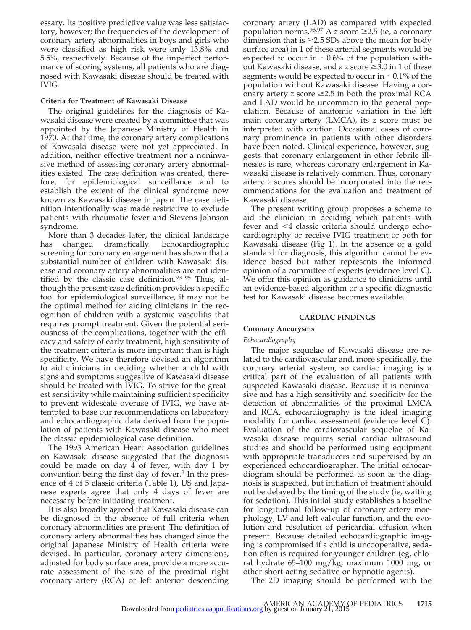essary. Its positive predictive value was less satisfactory, however; the frequencies of the development of coronary artery abnormalities in boys and girls who were classified as high risk were only 13.8% and 5.5%, respectively. Because of the imperfect performance of scoring systems, all patients who are diagnosed with Kawasaki disease should be treated with IVIG.

# **Criteria for Treatment of Kawasaki Disease**

The original guidelines for the diagnosis of Kawasaki disease were created by a committee that was appointed by the Japanese Ministry of Health in 1970. At that time, the coronary artery complications of Kawasaki disease were not yet appreciated. In addition, neither effective treatment nor a noninvasive method of assessing coronary artery abnormalities existed. The case definition was created, therefore, for epidemiological surveillance and to establish the extent of the clinical syndrome now known as Kawasaki disease in Japan. The case definition intentionally was made restrictive to exclude patients with rheumatic fever and Stevens-Johnson syndrome.

More than 3 decades later, the clinical landscape has changed dramatically. Echocardiographic screening for coronary enlargement has shown that a substantial number of children with Kawasaki disease and coronary artery abnormalities are not identified by the classic case definition.<sup>93-95</sup> Thus, although the present case definition provides a specific tool for epidemiological surveillance, it may not be the optimal method for aiding clinicians in the recognition of children with a systemic vasculitis that requires prompt treatment. Given the potential seriousness of the complications, together with the efficacy and safety of early treatment, high sensitivity of the treatment criteria is more important than is high specificity. We have therefore devised an algorithm to aid clinicians in deciding whether a child with signs and symptoms suggestive of Kawasaki disease should be treated with IVIG. To strive for the greatest sensitivity while maintaining sufficient specificity to prevent widescale overuse of IVIG, we have attempted to base our recommendations on laboratory and echocardiographic data derived from the population of patients with Kawasaki disease who meet the classic epidemiological case definition.

The 1993 American Heart Association guidelines on Kawasaki disease suggested that the diagnosis could be made on day 4 of fever, with day 1 by convention being the first day of fever. $3$  In the presence of 4 of 5 classic criteria (Table 1), US and Japanese experts agree that only 4 days of fever are necessary before initiating treatment.

It is also broadly agreed that Kawasaki disease can be diagnosed in the absence of full criteria when coronary abnormalities are present. The definition of coronary artery abnormalities has changed since the original Japanese Ministry of Health criteria were devised. In particular, coronary artery dimensions, adjusted for body surface area, provide a more accurate assessment of the size of the proximal right coronary artery (RCA) or left anterior descending

coronary artery (LAD) as compared with expected population norms.<sup>96,97</sup> A *z* score  $\geq$ 2.5 (ie, a coronary dimension that is  $\geq$  2.5 SDs above the mean for body surface area) in 1 of these arterial segments would be expected to occur in  $\sim 0.6\%$  of the population without Kawasaki disease, and a *z* score ≥3.0 in 1 of these segments would be expected to occur in  $\sim$ 0.1% of the population without Kawasaki disease. Having a coronary artery *z* score  $\geq$ 2.5 in both the proximal RCA and LAD would be uncommon in the general population. Because of anatomic variation in the left main coronary artery (LMCA), its *z* score must be interpreted with caution. Occasional cases of coronary prominence in patients with other disorders have been noted. Clinical experience, however, suggests that coronary enlargement in other febrile illnesses is rare, whereas coronary enlargement in Kawasaki disease is relatively common. Thus, coronary artery *z* scores should be incorporated into the recommendations for the evaluation and treatment of Kawasaki disease.

The present writing group proposes a scheme to aid the clinician in deciding which patients with fever and <4 classic criteria should undergo echocardiography or receive IVIG treatment or both for Kawasaki disease (Fig 1). In the absence of a gold standard for diagnosis, this algorithm cannot be evidence based but rather represents the informed opinion of a committee of experts (evidence level C). We offer this opinion as guidance to clinicians until an evidence-based algorithm or a specific diagnostic test for Kawasaki disease becomes available.

# **CARDIAC FINDINGS**

# **Coronary Aneurysms**

# *Echocardiography*

The major sequelae of Kawasaki disease are related to the cardiovascular and, more specifically, the coronary arterial system, so cardiac imaging is a critical part of the evaluation of all patients with suspected Kawasaki disease. Because it is noninvasive and has a high sensitivity and specificity for the detection of abnormalities of the proximal LMCA and RCA, echocardiography is the ideal imaging modality for cardiac assessment (evidence level C). Evaluation of the cardiovascular sequelae of Kawasaki disease requires serial cardiac ultrasound studies and should be performed using equipment with appropriate transducers and supervised by an experienced echocardiographer. The initial echocardiogram should be performed as soon as the diagnosis is suspected, but initiation of treatment should not be delayed by the timing of the study (ie, waiting for sedation). This initial study establishes a baseline for longitudinal follow-up of coronary artery morphology, LV and left valvular function, and the evolution and resolution of pericardial effusion when present. Because detailed echocardiographic imaging is compromised if a child is uncooperative, sedation often is required for younger children (eg, chloral hydrate 65–100 mg/kg, maximum 1000 mg, or other short-acting sedative or hypnotic agents).

The 2D imaging should be performed with the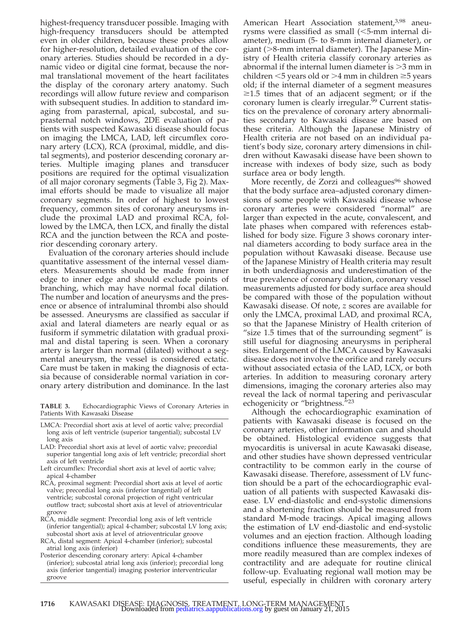highest-frequency transducer possible. Imaging with high-frequency transducers should be attempted even in older children, because these probes allow for higher-resolution, detailed evaluation of the coronary arteries. Studies should be recorded in a dynamic video or digital cine format, because the normal translational movement of the heart facilitates the display of the coronary artery anatomy. Such recordings will allow future review and comparison with subsequent studies. In addition to standard imaging from parasternal, apical, subcostal, and suprasternal notch windows, 2DE evaluation of patients with suspected Kawasaki disease should focus on imaging the LMCA, LAD, left circumflex coronary artery (LCX), RCA (proximal, middle, and distal segments), and posterior descending coronary arteries. Multiple imaging planes and transducer positions are required for the optimal visualization of all major coronary segments (Table 3, Fig 2). Maximal efforts should be made to visualize all major coronary segments. In order of highest to lowest frequency, common sites of coronary aneurysms include the proximal LAD and proximal RCA, followed by the LMCA, then LCX, and finally the distal RCA and the junction between the RCA and posterior descending coronary artery.

Evaluation of the coronary arteries should include quantitative assessment of the internal vessel diameters. Measurements should be made from inner edge to inner edge and should exclude points of branching, which may have normal focal dilation. The number and location of aneurysms and the presence or absence of intraluminal thrombi also should be assessed. Aneurysms are classified as saccular if axial and lateral diameters are nearly equal or as fusiform if symmetric dilatation with gradual proximal and distal tapering is seen. When a coronary artery is larger than normal (dilated) without a segmental aneurysm, the vessel is considered ectatic. Care must be taken in making the diagnosis of ectasia because of considerable normal variation in coronary artery distribution and dominance. In the last

**TABLE 3.** Echocardiographic Views of Coronary Arteries in Patients With Kawasaki Disease

- LMCA: Precordial short axis at level of aortic valve; precordial long axis of left ventricle (superior tangential); subcostal LV long axis
- LAD: Precordial short axis at level of aortic valve; precordial superior tangential long axis of left ventricle; precordial short axis of left ventricle
- Left circumflex: Precordial short axis at level of aortic valve; apical 4-chamber
- RCA, proximal segment: Precordial short axis at level of aortic valve; precordial long axis (inferior tangential) of left ventricle; subcostal coronal projection of right ventricular outflow tract; subcostal short axis at level of atrioventricular groove
- RCA, middle segment: Precordial long axis of left ventricle (inferior tangential); apical 4-chamber; subcostal LV long axis; subcostal short axis at level of atrioventricular groove

RCA, distal segment: Apical 4-chamber (inferior); subcostal atrial long axis (inferior)

Posterior descending coronary artery: Apical 4-chamber (inferior); subcostal atrial long axis (inferior); precordial long axis (inferior tangential) imaging posterior interventricular groove

American Heart Association statement,<sup>3,98</sup> aneurysms were classified as small (<5-mm internal diameter), medium (5- to 8-mm internal diameter), or giant  $(>8$ -mm internal diameter). The Japanese Ministry of Health criteria classify coronary arteries as abnormal if the internal lumen diameter is  $>$ 3 mm in children  $<$ 5 years old or  $>$ 4 mm in children  $\geq$ 5 years old; if the internal diameter of a segment measures  $\geq$ 1.5 times that of an adjacent segment; or if the coronary lumen is clearly irregular.<sup>99</sup> Current statistics on the prevalence of coronary artery abnormalities secondary to Kawasaki disease are based on these criteria. Although the Japanese Ministry of Health criteria are not based on an individual patient's body size, coronary artery dimensions in children without Kawasaki disease have been shown to increase with indexes of body size, such as body surface area or body length.

More recently, de Zorzi and colleagues<sup>96</sup> showed that the body surface area–adjusted coronary dimensions of some people with Kawasaki disease whose coronary arteries were considered "normal" are larger than expected in the acute, convalescent, and late phases when compared with references established for body size. Figure 3 shows coronary internal diameters according to body surface area in the population without Kawasaki disease. Because use of the Japanese Ministry of Health criteria may result in both underdiagnosis and underestimation of the true prevalence of coronary dilation, coronary vessel measurements adjusted for body surface area should be compared with those of the population without Kawasaki disease. Of note, *z* scores are available for only the LMCA, proximal LAD, and proximal RCA, so that the Japanese Ministry of Health criterion of "size 1.5 times that of the surrounding segment" is still useful for diagnosing aneurysms in peripheral sites. Enlargement of the LMCA caused by Kawasaki disease does not involve the orifice and rarely occurs without associated ectasia of the LAD, LCX, or both arteries. In addition to measuring coronary artery dimensions, imaging the coronary arteries also may reveal the lack of normal tapering and perivascular echogenicity or "brightness."<sup>23</sup>

Although the echocardiographic examination of patients with Kawasaki disease is focused on the coronary arteries, other information can and should be obtained. Histological evidence suggests that myocarditis is universal in acute Kawasaki disease, and other studies have shown depressed ventricular contractility to be common early in the course of Kawasaki disease. Therefore, assessment of LV function should be a part of the echocardiographic evaluation of all patients with suspected Kawasaki disease. LV end-diastolic and end-systolic dimensions and a shortening fraction should be measured from standard M-mode tracings. Apical imaging allows the estimation of LV end-diastolic and end-systolic volumes and an ejection fraction. Although loading conditions influence these measurements, they are more readily measured than are complex indexes of contractility and are adequate for routine clinical follow-up. Evaluating regional wall motion may be useful, especially in children with coronary artery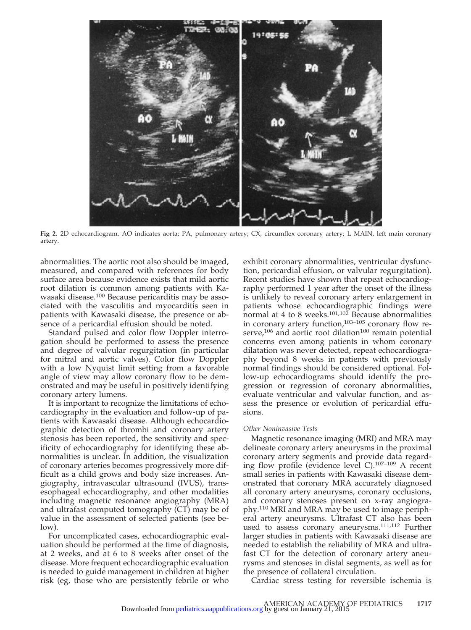

**Fig 2.** 2D echocardiogram. AO indicates aorta; PA, pulmonary artery; CX, circumflex coronary artery; L MAIN, left main coronary artery.

abnormalities. The aortic root also should be imaged, measured, and compared with references for body surface area because evidence exists that mild aortic root dilation is common among patients with Kawasaki disease.100 Because pericarditis may be associated with the vasculitis and myocarditis seen in patients with Kawasaki disease, the presence or absence of a pericardial effusion should be noted.

Standard pulsed and color flow Doppler interrogation should be performed to assess the presence and degree of valvular regurgitation (in particular for mitral and aortic valves). Color flow Doppler with a low Nyquist limit setting from a favorable angle of view may allow coronary flow to be demonstrated and may be useful in positively identifying coronary artery lumens.

It is important to recognize the limitations of echocardiography in the evaluation and follow-up of patients with Kawasaki disease. Although echocardiographic detection of thrombi and coronary artery stenosis has been reported, the sensitivity and specificity of echocardiography for identifying these abnormalities is unclear. In addition, the visualization of coronary arteries becomes progressively more difficult as a child grows and body size increases. Angiography, intravascular ultrasound (IVUS), transesophageal echocardiography, and other modalities including magnetic resonance angiography (MRA) and ultrafast computed tomography (CT) may be of value in the assessment of selected patients (see below).

For uncomplicated cases, echocardiographic evaluation should be performed at the time of diagnosis, at 2 weeks, and at 6 to 8 weeks after onset of the disease. More frequent echocardiographic evaluation is needed to guide management in children at higher risk (eg, those who are persistently febrile or who

exhibit coronary abnormalities, ventricular dysfunction, pericardial effusion, or valvular regurgitation). Recent studies have shown that repeat echocardiography performed 1 year after the onset of the illness is unlikely to reveal coronary artery enlargement in patients whose echocardiographic findings were normal at 4 to 8 weeks.<sup>101,102</sup> Because abnormalities in coronary artery function, $103-105$  coronary flow reserve, $106$  and aortic root dilation $100$  remain potential concerns even among patients in whom coronary dilatation was never detected, repeat echocardiography beyond 8 weeks in patients with previously normal findings should be considered optional. Follow-up echocardiograms should identify the progression or regression of coronary abnormalities, evaluate ventricular and valvular function, and assess the presence or evolution of pericardial effusions.

#### *Other Noninvasive Tests*

Magnetic resonance imaging (MRI) and MRA may delineate coronary artery aneurysms in the proximal coronary artery segments and provide data regarding flow profile (evidence level C).<sup>107-109</sup> A recent small series in patients with Kawasaki disease demonstrated that coronary MRA accurately diagnosed all coronary artery aneurysms, coronary occlusions, and coronary stenoses present on x-ray angiography.110 MRI and MRA may be used to image peripheral artery aneurysms. Ultrafast CT also has been used to assess coronary aneurysms.111,112 Further larger studies in patients with Kawasaki disease are needed to establish the reliability of MRA and ultrafast CT for the detection of coronary artery aneurysms and stenoses in distal segments, as well as for the presence of collateral circulation.

Cardiac stress testing for reversible ischemia is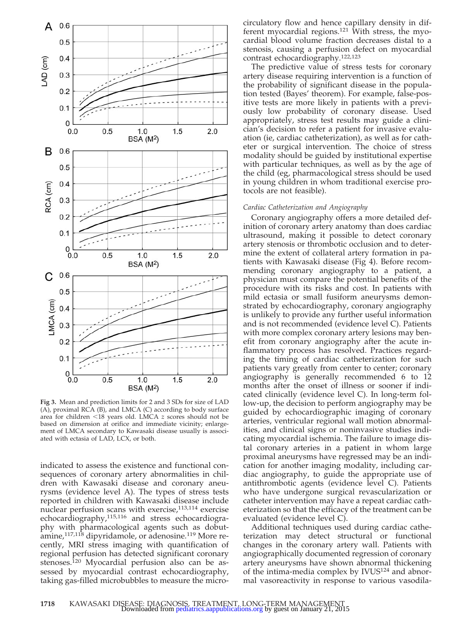

**Fig 3.** Mean and prediction limits for 2 and 3 SDs for size of LAD (A), proximal RCA (B), and LMCA (C) according to body surface area for children -18 years old. LMCA *z* scores should not be based on dimension at orifice and immediate vicinity; enlargement of LMCA secondary to Kawasaki disease usually is associated with ectasia of LAD, LCX, or both.

indicated to assess the existence and functional consequences of coronary artery abnormalities in children with Kawasaki disease and coronary aneurysms (evidence level A). The types of stress tests reported in children with Kawasaki disease include nuclear perfusion scans with exercise,<sup>113,114</sup> exercise echocardiography,<sup>115,116</sup> and stress echocardiography with pharmacological agents such as dobutamine,<sup>117,118</sup> dipyridamole, or adenosine.<sup>119</sup> More recently, MRI stress imaging with quantification of regional perfusion has detected significant coronary stenoses.120 Myocardial perfusion also can be assessed by myocardial contrast echocardiography, taking gas-filled microbubbles to measure the micro-

circulatory flow and hence capillary density in different myocardial regions.<sup>121</sup> With stress, the myocardial blood volume fraction decreases distal to a stenosis, causing a perfusion defect on myocardial contrast echocardiography.122,123

The predictive value of stress tests for coronary artery disease requiring intervention is a function of the probability of significant disease in the population tested (Bayes' theorem). For example, false-positive tests are more likely in patients with a previously low probability of coronary disease. Used appropriately, stress test results may guide a clinician's decision to refer a patient for invasive evaluation (ie, cardiac catheterization), as well as for catheter or surgical intervention. The choice of stress modality should be guided by institutional expertise with particular techniques, as well as by the age of the child (eg, pharmacological stress should be used in young children in whom traditional exercise protocols are not feasible).

#### *Cardiac Catheterization and Angiography*

Coronary angiography offers a more detailed definition of coronary artery anatomy than does cardiac ultrasound, making it possible to detect coronary artery stenosis or thrombotic occlusion and to determine the extent of collateral artery formation in patients with Kawasaki disease (Fig 4). Before recommending coronary angiography to a patient, a physician must compare the potential benefits of the procedure with its risks and cost. In patients with mild ectasia or small fusiform aneurysms demonstrated by echocardiography, coronary angiography is unlikely to provide any further useful information and is not recommended (evidence level C). Patients with more complex coronary artery lesions may benefit from coronary angiography after the acute inflammatory process has resolved. Practices regarding the timing of cardiac catheterization for such patients vary greatly from center to center; coronary angiography is generally recommended 6 to 12 months after the onset of illness or sooner if indicated clinically (evidence level C). In long-term follow-up, the decision to perform angiography may be guided by echocardiographic imaging of coronary arteries, ventricular regional wall motion abnormalities, and clinical signs or noninvasive studies indicating myocardial ischemia. The failure to image distal coronary arteries in a patient in whom large proximal aneurysms have regressed may be an indication for another imaging modality, including cardiac angiography, to guide the appropriate use of antithrombotic agents (evidence level C). Patients who have undergone surgical revascularization or catheter intervention may have a repeat cardiac catheterization so that the efficacy of the treatment can be evaluated (evidence level C).

Additional techniques used during cardiac catheterization may detect structural or functional changes in the coronary artery wall. Patients with angiographically documented regression of coronary artery aneurysms have shown abnormal thickening of the intima-media complex by IVUS124 and abnormal vasoreactivity in response to various vasodila-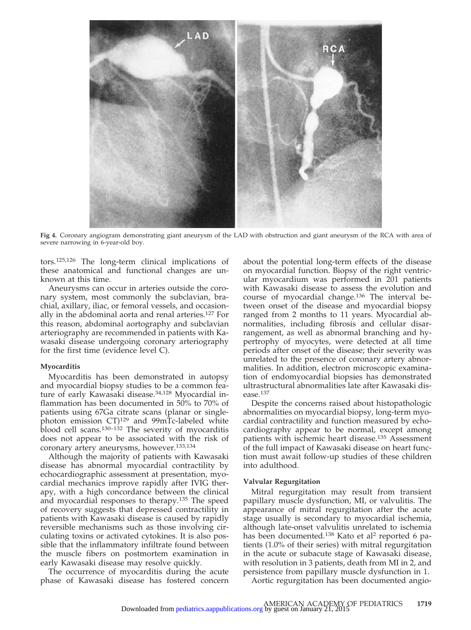

**Fig 4.** Coronary angiogram demonstrating giant aneurysm of the LAD with obstruction and giant aneurysm of the RCA with area of severe narrowing in 6-year-old boy.

tors.125,126 The long-term clinical implications of these anatomical and functional changes are unknown at this time.

Aneurysms can occur in arteries outside the coronary system, most commonly the subclavian, brachial, axillary, iliac, or femoral vessels, and occasionally in the abdominal aorta and renal arteries.127 For this reason, abdominal aortography and subclavian arteriography are recommended in patients with Kawasaki disease undergoing coronary arteriography for the first time (evidence level C).

#### **Myocarditis**

Myocarditis has been demonstrated in autopsy and myocardial biopsy studies to be a common feature of early Kawasaki disease.<sup>34,128</sup> Myocardial inflammation has been documented in 50% to 70% of patients using 67Ga citrate scans (planar or singlephoton emission CT)<sup>129</sup> and 99mTc-labeled white  $\frac{1}{2}$ blood cell scans.<sup>130–132</sup> The severity of myocarditis does not appear to be associated with the risk of coronary artery aneurysms, however.<sup>133,134</sup>

Although the majority of patients with Kawasaki disease has abnormal myocardial contractility by echocardiographic assessment at presentation, myocardial mechanics improve rapidly after IVIG therapy, with a high concordance between the clinical and myocardial responses to therapy.135 The speed of recovery suggests that depressed contractility in patients with Kawasaki disease is caused by rapidly reversible mechanisms such as those involving circulating toxins or activated cytokines. It is also possible that the inflammatory infiltrate found between the muscle fibers on postmortem examination in early Kawasaki disease may resolve quickly.

The occurrence of myocarditis during the acute phase of Kawasaki disease has fostered concern

about the potential long-term effects of the disease on myocardial function. Biopsy of the right ventricular myocardium was performed in 201 patients with Kawasaki disease to assess the evolution and course of myocardial change.136 The interval between onset of the disease and myocardial biopsy ranged from 2 months to 11 years. Myocardial abnormalities, including fibrosis and cellular disarrangement, as well as abnormal branching and hypertrophy of myocytes, were detected at all time periods after onset of the disease; their severity was unrelated to the presence of coronary artery abnormalities. In addition, electron microscopic examination of endomyocardial biopsies has demonstrated ultrastructural abnormalities late after Kawasaki disease.137

Despite the concerns raised about histopathologic abnormalities on myocardial biopsy, long-term myocardial contractility and function measured by echocardiography appear to be normal, except among patients with ischemic heart disease.<sup>135</sup> Assessment of the full impact of Kawasaki disease on heart function must await follow-up studies of these children into adulthood.

#### **Valvular Regurgitation**

Mitral regurgitation may result from transient papillary muscle dysfunction, MI, or valvulitis. The appearance of mitral regurgitation after the acute stage usually is secondary to myocardial ischemia, although late-onset valvulitis unrelated to ischemia has been documented.<sup>138</sup> Kato et al<sup>2</sup> reported 6 patients (1.0% of their series) with mitral regurgitation in the acute or subacute stage of Kawasaki disease, with resolution in 3 patients, death from MI in 2, and persistence from papillary muscle dysfunction in 1.

Aortic regurgitation has been documented angio-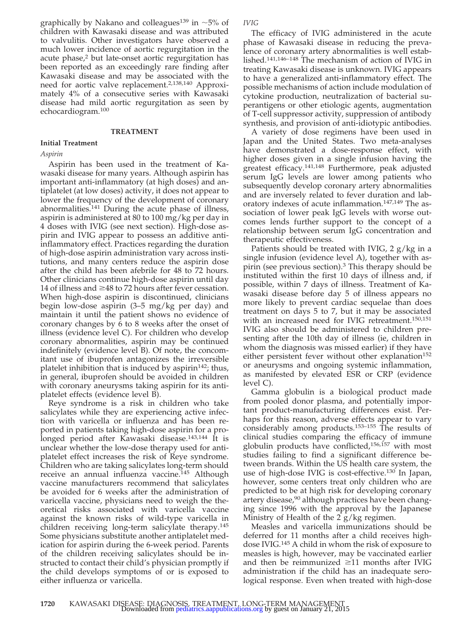graphically by Nakano and colleagues<sup>139</sup> in  $\sim$ 5% of children with Kawasaki disease and was attributed to valvulitis. Other investigators have observed a much lower incidence of aortic regurgitation in the acute phase,<sup>2</sup> but late-onset aortic regurgitation has been reported as an exceedingly rare finding after Kawasaki disease and may be associated with the need for aortic valve replacement.2,138,140 Approximately 4% of a consecutive series with Kawasaki disease had mild aortic regurgitation as seen by echocardiogram.100

#### **TREATMENT**

#### **Initial Treatment**

# *Aspirin*

Aspirin has been used in the treatment of Kawasaki disease for many years. Although aspirin has important anti-inflammatory (at high doses) and antiplatelet (at low doses) activity, it does not appear to lower the frequency of the development of coronary abnormalities.<sup>141</sup> During the acute phase of illness, aspirin is administered at 80 to 100 mg/kg per day in 4 doses with IVIG (see next section). High-dose aspirin and IVIG appear to possess an additive antiinflammatory effect. Practices regarding the duration of high-dose aspirin administration vary across institutions, and many centers reduce the aspirin dose after the child has been afebrile for 48 to 72 hours. Other clinicians continue high-dose aspirin until day 14 of illness and  $\geq$  48 to 72 hours after fever cessation. When high-dose aspirin is discontinued, clinicians begin low-dose aspirin (3–5 mg/kg per day) and maintain it until the patient shows no evidence of coronary changes by 6 to 8 weeks after the onset of illness (evidence level C). For children who develop coronary abnormalities, aspirin may be continued indefinitely (evidence level B). Of note, the concomitant use of ibuprofen antagonizes the irreversible platelet inhibition that is induced by aspirin<sup>142</sup>; thus, in general, ibuprofen should be avoided in children with coronary aneurysms taking aspirin for its antiplatelet effects (evidence level B).

Reye syndrome is a risk in children who take salicylates while they are experiencing active infection with varicella or influenza and has been reported in patients taking high-dose aspirin for a prolonged period after Kawasaki disease.143,144 It is unclear whether the low-dose therapy used for antiplatelet effect increases the risk of Reye syndrome. Children who are taking salicylates long-term should receive an annual influenza vaccine.<sup>145</sup> Although vaccine manufacturers recommend that salicylates be avoided for 6 weeks after the administration of varicella vaccine, physicians need to weigh the theoretical risks associated with varicella vaccine against the known risks of wild-type varicella in children receiving long-term salicylate therapy.145 Some physicians substitute another antiplatelet medication for aspirin during the 6-week period. Parents of the children receiving salicylates should be instructed to contact their child's physician promptly if the child develops symptoms of or is exposed to either influenza or varicella.

The efficacy of IVIG administered in the acute phase of Kawasaki disease in reducing the prevalence of coronary artery abnormalities is well established.141,146–148 The mechanism of action of IVIG in treating Kawasaki disease is unknown. IVIG appears to have a generalized anti-inflammatory effect. The possible mechanisms of action include modulation of cytokine production, neutralization of bacterial superantigens or other etiologic agents, augmentation of T-cell suppressor activity, suppression of antibody synthesis, and provision of anti-idiotypic antibodies.

A variety of dose regimens have been used in Japan and the United States. Two meta-analyses have demonstrated a dose-response effect, with higher doses given in a single infusion having the greatest efficacy.141,148 Furthermore, peak adjusted serum IgG levels are lower among patients who subsequently develop coronary artery abnormalities and are inversely related to fever duration and laboratory indexes of acute inflammation.<sup>147,149</sup> The association of lower peak IgG levels with worse outcomes lends further support to the concept of a relationship between serum IgG concentration and therapeutic effectiveness.

Patients should be treated with IVIG,  $2 g/kg$  in a single infusion (evidence level A), together with aspirin (see previous section).3 This therapy should be instituted within the first 10 days of illness and, if possible, within 7 days of illness. Treatment of Kawasaki disease before day 5 of illness appears no more likely to prevent cardiac sequelae than does treatment on days 5 to 7, but it may be associated with an increased need for IVIG retreatment.<sup>150,151</sup> IVIG also should be administered to children presenting after the 10th day of illness (ie, children in whom the diagnosis was missed earlier) if they have either persistent fever without other explanation<sup>152</sup> or aneurysms and ongoing systemic inflammation, as manifested by elevated ESR or CRP (evidence level C).

Gamma globulin is a biological product made from pooled donor plasma, and potentially important product-manufacturing differences exist. Perhaps for this reason, adverse effects appear to vary considerably among products.<sup>153-155</sup> The results of clinical studies comparing the efficacy of immune globulin products have conflicted,<sup>156,157</sup> with most studies failing to find a significant difference between brands. Within the US health care system, the use of high-dose IVIG is cost-effective.<sup>130</sup> In Japan, however, some centers treat only children who are predicted to be at high risk for developing coronary artery disease,<sup>90</sup> although practices have been changing since 1996 with the approval by the Japanese Ministry of Health of the 2 g/kg regimen.

Measles and varicella immunizations should be deferred for 11 months after a child receives highdose IVIG.145 A child in whom the risk of exposure to measles is high, however, may be vaccinated earlier and then be reimmunized  $\geq 11$  months after IVIG administration if the child has an inadequate serological response. Even when treated with high-dose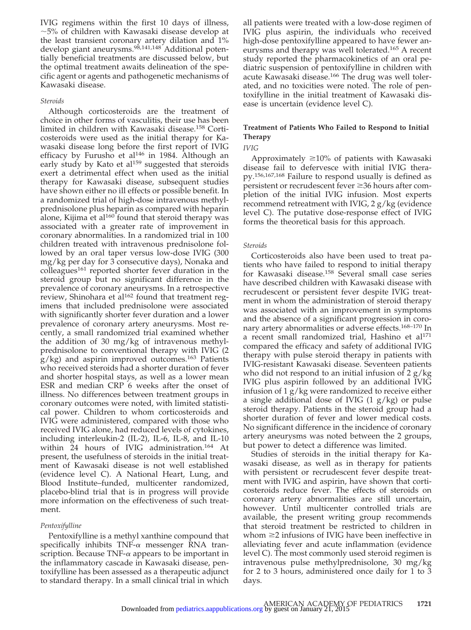IVIG regimens within the first 10 days of illness,  $\sim$ 5% of children with Kawasaki disease develop at the least transient coronary artery dilation and 1% develop giant aneurysms.<sup>98,141,148</sup> Additional potentially beneficial treatments are discussed below, but the optimal treatment awaits delineation of the specific agent or agents and pathogenetic mechanisms of Kawasaki disease.

#### *Steroids*

Although corticosteroids are the treatment of choice in other forms of vasculitis, their use has been limited in children with Kawasaki disease.158 Corticosteroids were used as the initial therapy for Kawasaki disease long before the first report of IVIG efficacy by Furusho et al $146$  in 1984. Although an early study by Kato et al<sup>159</sup> suggested that steroids exert a detrimental effect when used as the initial therapy for Kawasaki disease, subsequent studies have shown either no ill effects or possible benefit. In a randomized trial of high-dose intravenous methylprednisolone plus heparin as compared with heparin alone, Kijima et al $160$  found that steroid therapy was associated with a greater rate of improvement in coronary abnormalities. In a randomized trial in 100 children treated with intravenous prednisolone followed by an oral taper versus low-dose IVIG (300 mg/kg per day for 3 consecutive days), Nonaka and colleagues<sup>161</sup> reported shorter fever duration in the steroid group but no significant difference in the prevalence of coronary aneurysms. In a retrospective review, Shinohara et al<sup>162</sup> found that treatment regimens that included prednisolone were associated with significantly shorter fever duration and a lower prevalence of coronary artery aneurysms. Most recently, a small randomized trial examined whether the addition of 30 mg/kg of intravenous methylprednisolone to conventional therapy with IVIG (2  $g/kg$ ) and aspirin improved outcomes.<sup>163</sup> Patients who received steroids had a shorter duration of fever and shorter hospital stays, as well as a lower mean ESR and median CRP 6 weeks after the onset of illness. No differences between treatment groups in coronary outcomes were noted, with limited statistical power. Children to whom corticosteroids and IVIG were administered, compared with those who received IVIG alone, had reduced levels of cytokines, including interleukin-2 (IL-2), IL-6, IL-8, and IL-10 within 24 hours of IVIG administration.164 At present, the usefulness of steroids in the initial treatment of Kawasaki disease is not well established (evidence level C). A National Heart, Lung, and Blood Institute–funded, multicenter randomized, placebo-blind trial that is in progress will provide more information on the effectiveness of such treatment.

# *Pentoxifylline*

Pentoxifylline is a methyl xanthine compound that specifically inhibits TNF- $\alpha$  messenger RNA transcription. Because TNF- $\alpha$  appears to be important in the inflammatory cascade in Kawasaki disease, pentoxifylline has been assessed as a therapeutic adjunct to standard therapy. In a small clinical trial in which

all patients were treated with a low-dose regimen of IVIG plus aspirin, the individuals who received high-dose pentoxifylline appeared to have fewer aneurysms and therapy was well tolerated.<sup>165</sup> A recent study reported the pharmacokinetics of an oral pediatric suspension of pentoxifylline in children with acute Kawasaki disease.166 The drug was well tolerated, and no toxicities were noted. The role of pentoxifylline in the initial treatment of Kawasaki disease is uncertain (evidence level C).

# **Treatment of Patients Who Failed to Respond to Initial Therapy**

#### *IVIG*

Approximately  $\geq 10\%$  of patients with Kawasaki disease fail to defervesce with initial IVIG therapy.156,167,168 Failure to respond usually is defined as persistent or recrudescent fever 36 hours after completion of the initial IVIG infusion. Most experts recommend retreatment with IVIG,  $2 g/kg$  (evidence level C). The putative dose-response effect of IVIG forms the theoretical basis for this approach.

# *Steroids*

Corticosteroids also have been used to treat patients who have failed to respond to initial therapy for Kawasaki disease.158 Several small case series have described children with Kawasaki disease with recrudescent or persistent fever despite IVIG treatment in whom the administration of steroid therapy was associated with an improvement in symptoms and the absence of a significant progression in coronary artery abnormalities or adverse effects.<sup>168–170</sup> In a recent small randomized trial, Hashino et al<sup>171</sup> compared the efficacy and safety of additional IVIG therapy with pulse steroid therapy in patients with IVIG-resistant Kawasaki disease. Seventeen patients who did not respond to an initial infusion of 2 g/kg IVIG plus aspirin followed by an additional IVIG infusion of 1 g/kg were randomized to receive either a single additional dose of IVIG  $(1 \text{ g/kg})$  or pulse steroid therapy. Patients in the steroid group had a shorter duration of fever and lower medical costs. No significant difference in the incidence of coronary artery aneurysms was noted between the 2 groups, but power to detect a difference was limited.

Studies of steroids in the initial therapy for Kawasaki disease, as well as in therapy for patients with persistent or recrudescent fever despite treatment with IVIG and aspirin, have shown that corticosteroids reduce fever. The effects of steroids on coronary artery abnormalities are still uncertain, however. Until multicenter controlled trials are available, the present writing group recommends that steroid treatment be restricted to children in whom  $\geq$ 2 infusions of IVIG have been ineffective in alleviating fever and acute inflammation (evidence level C). The most commonly used steroid regimen is intravenous pulse methylprednisolone, 30 mg/kg for 2 to 3 hours, administered once daily for 1 to 3 days.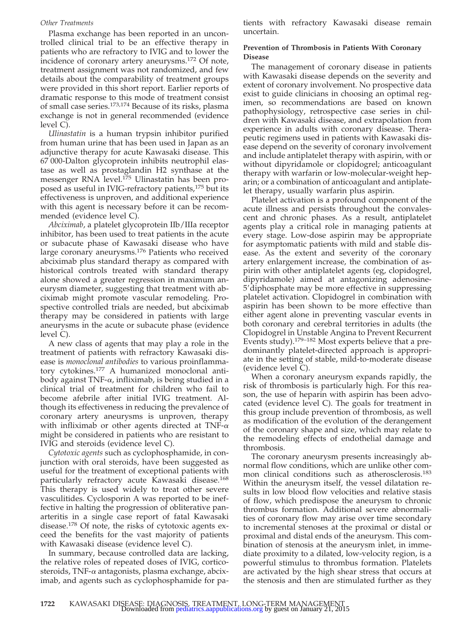# *Other Treatments*

Plasma exchange has been reported in an uncontrolled clinical trial to be an effective therapy in patients who are refractory to IVIG and to lower the incidence of coronary artery aneurysms.172 Of note, treatment assignment was not randomized, and few details about the comparability of treatment groups were provided in this short report. Earlier reports of dramatic response to this mode of treatment consist of small case series.173,174 Because of its risks, plasma exchange is not in general recommended (evidence level C).

*Ulinastatin* is a human trypsin inhibitor purified from human urine that has been used in Japan as an adjunctive therapy for acute Kawasaki disease. This 67 000-Dalton glycoprotein inhibits neutrophil elastase as well as prostaglandin H2 synthase at the messenger RNA level.<sup>175</sup> Ulinastatin has been proposed as useful in IVIG-refractory patients,<sup>175</sup> but its effectiveness is unproven, and additional experience with this agent is necessary before it can be recommended (evidence level C).

*Abciximab*, a platelet glycoprotein IIb/IIIa receptor inhibitor, has been used to treat patients in the acute or subacute phase of Kawasaki disease who have large coronary aneurysms.176 Patients who received abciximab plus standard therapy as compared with historical controls treated with standard therapy alone showed a greater regression in maximum aneurysm diameter, suggesting that treatment with abciximab might promote vascular remodeling. Prospective controlled trials are needed, but abciximab therapy may be considered in patients with large aneurysms in the acute or subacute phase (evidence level C).

A new class of agents that may play a role in the treatment of patients with refractory Kawasaki disease is *monoclonal antibodies* to various proinflammatory cytokines.177 A humanized monoclonal antibody against TNF- $\alpha$ , infliximab, is being studied in a clinical trial of treatment for children who fail to become afebrile after initial IVIG treatment. Although its effectiveness in reducing the prevalence of coronary artery aneurysms is unproven, therapy with infliximab or other agents directed at TNF- $\alpha$ might be considered in patients who are resistant to IVIG and steroids (evidence level C).

*Cytotoxic agents* such as cyclophosphamide, in conjunction with oral steroids, have been suggested as useful for the treatment of exceptional patients with particularly refractory acute Kawasaki disease.168 This therapy is used widely to treat other severe vasculitides. Cyclosporin A was reported to be ineffective in halting the progression of obliterative panarteritis in a single case report of fatal Kawasaki disease.178 Of note, the risks of cytotoxic agents exceed the benefits for the vast majority of patients with Kawasaki disease (evidence level C).

In summary, because controlled data are lacking, the relative roles of repeated doses of IVIG, corticosteroids, TNF- $\alpha$  antagonists, plasma exchange, abciximab, and agents such as cyclophosphamide for patients with refractory Kawasaki disease remain uncertain.

# **Prevention of Thrombosis in Patients With Coronary Disease**

The management of coronary disease in patients with Kawasaki disease depends on the severity and extent of coronary involvement. No prospective data exist to guide clinicians in choosing an optimal regimen, so recommendations are based on known pathophysiology, retrospective case series in children with Kawasaki disease, and extrapolation from experience in adults with coronary disease. Therapeutic regimens used in patients with Kawasaki disease depend on the severity of coronary involvement and include antiplatelet therapy with aspirin, with or without dipyridamole or clopidogrel; anticoagulant therapy with warfarin or low-molecular-weight heparin; or a combination of anticoagulant and antiplatelet therapy, usually warfarin plus aspirin.

Platelet activation is a profound component of the acute illness and persists throughout the convalescent and chronic phases. As a result, antiplatelet agents play a critical role in managing patients at every stage. Low-dose aspirin may be appropriate for asymptomatic patients with mild and stable disease. As the extent and severity of the coronary artery enlargement increase, the combination of aspirin with other antiplatelet agents (eg, clopidogrel, dipyridamole) aimed at antagonizing adenosine-5' diphosphate may be more effective in suppressing platelet activation. Clopidogrel in combination with aspirin has been shown to be more effective than either agent alone in preventing vascular events in both coronary and cerebral territories in adults (the Clopidogrel in Unstable Angina to Prevent Recurrent Events study).179–182 Most experts believe that a predominantly platelet-directed approach is appropriate in the setting of stable, mild-to-moderate disease (evidence level C).

When a coronary aneurysm expands rapidly, the risk of thrombosis is particularly high. For this reason, the use of heparin with aspirin has been advocated (evidence level C). The goals for treatment in this group include prevention of thrombosis, as well as modification of the evolution of the derangement of the coronary shape and size, which may relate to the remodeling effects of endothelial damage and thrombosis.

The coronary aneurysm presents increasingly abnormal flow conditions, which are unlike other common clinical conditions such as atherosclerosis.<sup>183</sup> Within the aneurysm itself, the vessel dilatation results in low blood flow velocities and relative stasis of flow, which predispose the aneurysm to chronic thrombus formation. Additional severe abnormalities of coronary flow may arise over time secondary to incremental stenoses at the proximal or distal or proximal and distal ends of the aneurysm. This combination of stenosis at the aneurysm inlet, in immediate proximity to a dilated, low-velocity region, is a powerful stimulus to thrombus formation. Platelets are activated by the high shear stress that occurs at the stenosis and then are stimulated further as they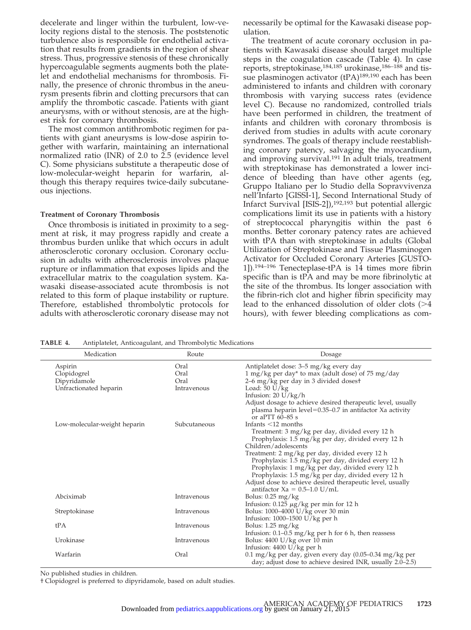decelerate and linger within the turbulent, low-velocity regions distal to the stenosis. The poststenotic turbulence also is responsible for endothelial activation that results from gradients in the region of shear stress. Thus, progressive stenosis of these chronically hypercoagulable segments augments both the platelet and endothelial mechanisms for thrombosis. Finally, the presence of chronic thrombus in the aneurysm presents fibrin and clotting precursors that can amplify the thrombotic cascade. Patients with giant aneurysms, with or without stenosis, are at the highest risk for coronary thrombosis.

The most common antithrombotic regimen for patients with giant aneurysms is low-dose aspirin together with warfarin, maintaining an international normalized ratio (INR) of 2.0 to 2.5 (evidence level C). Some physicians substitute a therapeutic dose of low-molecular-weight heparin for warfarin, although this therapy requires twice-daily subcutaneous injections.

#### **Treatment of Coronary Thrombosis**

Once thrombosis is initiated in proximity to a segment at risk, it may progress rapidly and create a thrombus burden unlike that which occurs in adult atherosclerotic coronary occlusion. Coronary occlusion in adults with atherosclerosis involves plaque rupture or inflammation that exposes lipids and the extracellular matrix to the coagulation system. Kawasaki disease-associated acute thrombosis is not related to this form of plaque instability or rupture. Therefore, established thrombolytic protocols for adults with atherosclerotic coronary disease may not necessarily be optimal for the Kawasaki disease population.

The treatment of acute coronary occlusion in patients with Kawasaki disease should target multiple steps in the coagulation cascade (Table 4). In case reports, streptokinase,184,185 urokinase,186–188 and tissue plasminogen activator (tPA)<sup>189,190</sup> each has been administered to infants and children with coronary thrombosis with varying success rates (evidence level C). Because no randomized, controlled trials have been performed in children, the treatment of infants and children with coronary thrombosis is derived from studies in adults with acute coronary syndromes. The goals of therapy include reestablishing coronary patency, salvaging the myocardium, and improving survival.<sup>191</sup> In adult trials, treatment with streptokinase has demonstrated a lower incidence of bleeding than have other agents (eg, Gruppo Italiano per lo Studio della Sopravvivenza nell'Infarto [GISSI-1], Second International Study of Infarct Survival [ISIS-2]),<sup>192,193</sup> but potential allergic complications limit its use in patients with a history of streptococcal pharyngitis within the past 6 months. Better coronary patency rates are achieved with tPA than with streptokinase in adults (Global Utilization of Streptokinase and Tissue Plasminogen Activator for Occluded Coronary Arteries [GUSTO-1]).194–196 Tenecteplase-tPA is 14 times more fibrin specific than is tPA and may be more fibrinolytic at the site of the thrombus. Its longer association with the fibrin-rich clot and higher fibrin specificity may lead to the enhanced dissolution of older clots  $(>4)$ hours), with fewer bleeding complications as com-

**TABLE 4.** Antiplatelet, Anticoagulant, and Thrombolytic Medications

| Medication                   | Route        | Dosage                                                             |
|------------------------------|--------------|--------------------------------------------------------------------|
| Aspirin                      | Oral         | Antiplatelet dose: 3-5 mg/kg every day                             |
| Clopidogrel                  | Oral         | 1 mg/kg per day* to max (adult dose) of 75 mg/day                  |
| Dipyridamole                 | Oral         | 2-6 mg/kg per day in 3 divided dosest                              |
| Unfractionated heparin       | Intravenous  | Load: $50 \text{ U/kg}$                                            |
|                              |              | Infusion: $20 U/kg/h$                                              |
|                              |              | Adjust dosage to achieve desired therapeutic level, usually        |
|                              |              | plasma heparin level= $0.35-0.7$ in antifactor Xa activity         |
|                              |              | or aPTT $60-85$ s                                                  |
| Low-molecular-weight heparin | Subcutaneous | Infants $<$ 12 months                                              |
|                              |              | Treatment: 3 mg/kg per day, divided every 12 h                     |
|                              |              | Prophylaxis: 1.5 mg/kg per day, divided every 12 h                 |
|                              |              | Children/adolescents                                               |
|                              |              | Treatment: 2 mg/kg per day, divided every 12 h                     |
|                              |              | Prophylaxis: 1.5 mg/kg per day, divided every 12 h                 |
|                              |              | Prophylaxis: 1 mg/kg per day, divided every 12 h                   |
|                              |              | Prophylaxis: 1.5 mg/kg per day, divided every 12 h                 |
|                              |              | Adjust dose to achieve desired therapeutic level, usually          |
|                              |              | antifactor $Xa = 0.5-1.0$ U/mL                                     |
| Abciximab                    | Intravenous  | Bolus: $0.25 \text{ mg/kg}$                                        |
|                              |              | Infusion: $0.125 \mu g/kg$ per min for 12 h                        |
| Streptokinase                | Intravenous  | Bolus: 1000-4000 U/kg over 30 min                                  |
|                              |              | Infusion: $1000-1500$ U/kg per h                                   |
| tPA                          | Intravenous  | Bolus: $1.25 \text{ mg/kg}$                                        |
|                              |              | Infusion: 0.1–0.5 mg/kg per h for 6 h, then reassess               |
| Urokinase                    | Intravenous  | Bolus: 4400 U/kg over 10 min                                       |
|                              |              | Infusion: 4400 U/kg per h                                          |
| Warfarin                     | Oral         | 0.1 mg/kg per day, given every day $(0.05-0.34 \text{ mg/kg})$ per |
|                              |              | day; adjust dose to achieve desired INR, usually 2.0–2.5)          |
|                              |              |                                                                    |

No published studies in children.

† Clopidogrel is preferred to dipyridamole, based on adult studies.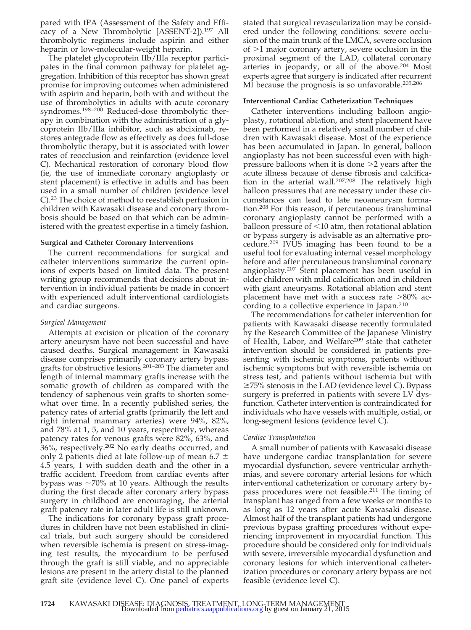pared with tPA (Assessment of the Safety and Efficacy of a New Thrombolytic [ASSENT-2]).197 All thrombolytic regimens include aspirin and either heparin or low-molecular-weight heparin.

The platelet glycoprotein IIb/IIIa receptor participates in the final common pathway for platelet aggregation. Inhibition of this receptor has shown great promise for improving outcomes when administered with aspirin and heparin, both with and without the use of thrombolytics in adults with acute coronary syndromes.198–200 Reduced-dose thrombolytic therapy in combination with the administration of a glycoprotein IIb/IIIa inhibitor, such as abciximab, restores antegrade flow as effectively as does full-dose thrombolytic therapy, but it is associated with lower rates of reocclusion and reinfarction (evidence level C). Mechanical restoration of coronary blood flow (ie, the use of immediate coronary angioplasty or stent placement) is effective in adults and has been used in a small number of children (evidence level C).23 The choice of method to reestablish perfusion in children with Kawasaki disease and coronary thrombosis should be based on that which can be administered with the greatest expertise in a timely fashion.

#### **Surgical and Catheter Coronary Interventions**

The current recommendations for surgical and catheter interventions summarize the current opinions of experts based on limited data. The present writing group recommends that decisions about intervention in individual patients be made in concert with experienced adult interventional cardiologists and cardiac surgeons.

#### *Surgical Management*

Attempts at excision or plication of the coronary artery aneurysm have not been successful and have caused deaths. Surgical management in Kawasaki disease comprises primarily coronary artery bypass grafts for obstructive lesions.201–203 The diameter and length of internal mammary grafts increase with the somatic growth of children as compared with the tendency of saphenous vein grafts to shorten somewhat over time. In a recently published series, the patency rates of arterial grafts (primarily the left and right internal mammary arteries) were 94%, 82%, and 78% at 1, 5, and 10 years, respectively, whereas patency rates for venous grafts were 82%, 63%, and 36%, respectively.202 No early deaths occurred, and only 2 patients died at late follow-up of mean 6.7  $\pm$ 4.5 years, 1 with sudden death and the other in a traffic accident. Freedom from cardiac events after bypass was  $\sim$ 70% at 10 years. Although the results during the first decade after coronary artery bypass surgery in childhood are encouraging, the arterial graft patency rate in later adult life is still unknown.

The indications for coronary bypass graft procedures in children have not been established in clinical trials, but such surgery should be considered when reversible ischemia is present on stress-imaging test results, the myocardium to be perfused through the graft is still viable, and no appreciable lesions are present in the artery distal to the planned graft site (evidence level C). One panel of experts

stated that surgical revascularization may be considered under the following conditions: severe occlusion of the main trunk of the LMCA, severe occlusion of  $>1$  major coronary artery, severe occlusion in the proximal segment of the LAD, collateral coronary arteries in jeopardy, or all of the above.<sup>204</sup> Most experts agree that surgery is indicated after recurrent MI because the prognosis is so unfavorable.<sup>205,206</sup>

#### **Interventional Cardiac Catheterization Techniques**

Catheter interventions including balloon angioplasty, rotational ablation, and stent placement have been performed in a relatively small number of children with Kawasaki disease. Most of the experience has been accumulated in Japan. In general, balloon angioplasty has not been successful even with highpressure balloons when it is done  $>2$  years after the acute illness because of dense fibrosis and calcification in the arterial wall.207,208 The relatively high balloon pressures that are necessary under these circumstances can lead to late neoaneurysm formation.208 For this reason, if percutaneous transluminal coronary angioplasty cannot be performed with a balloon pressure of  $<$ 10 atm, then rotational ablation or bypass surgery is advisable as an alternative procedure.209 IVUS imaging has been found to be a useful tool for evaluating internal vessel morphology before and after percutaneous transluminal coronary angioplasty.207 Stent placement has been useful in older children with mild calcification and in children with giant aneurysms. Rotational ablation and stent placement have met with a success rate  $>80\%$  according to a collective experience in Japan.210

The recommendations for catheter intervention for patients with Kawasaki disease recently formulated by the Research Committee of the Japanese Ministry of Health, Labor, and Welfare<sup>209</sup> state that catheter intervention should be considered in patients presenting with ischemic symptoms, patients without ischemic symptoms but with reversible ischemia on stress test, and patients without ischemia but with  $\geq$ 75% stenosis in the LAD (evidence level C). Bypass surgery is preferred in patients with severe LV dysfunction. Catheter intervention is contraindicated for individuals who have vessels with multiple, ostial, or long-segment lesions (evidence level C).

#### *Cardiac Transplantation*

A small number of patients with Kawasaki disease have undergone cardiac transplantation for severe myocardial dysfunction, severe ventricular arrhythmias, and severe coronary arterial lesions for which interventional catheterization or coronary artery bypass procedures were not feasible.<sup>211</sup> The timing of transplant has ranged from a few weeks or months to as long as 12 years after acute Kawasaki disease. Almost half of the transplant patients had undergone previous bypass grafting procedures without experiencing improvement in myocardial function. This procedure should be considered only for individuals with severe, irreversible myocardial dysfunction and coronary lesions for which interventional catheterization procedures or coronary artery bypass are not feasible (evidence level C).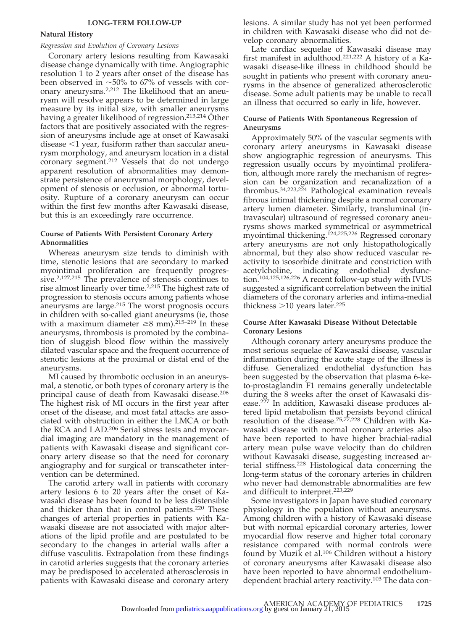#### **LONG-TERM FOLLOW-UP**

#### **Natural History**

# *Regression and Evolution of Coronary Lesions*

Coronary artery lesions resulting from Kawasaki disease change dynamically with time. Angiographic resolution 1 to 2 years after onset of the disease has been observed in  $\sim$ 50% to 67% of vessels with coronary aneurysms.<sup>2,212</sup> The likelihood that an aneurysm will resolve appears to be determined in large measure by its initial size, with smaller aneurysms having a greater likelihood of regression.213,214 Other factors that are positively associated with the regression of aneurysms include age at onset of Kawasaki disease -1 year, fusiform rather than saccular aneurysm morphology, and aneurysm location in a distal coronary segment.212 Vessels that do not undergo apparent resolution of abnormalities may demonstrate persistence of aneurysmal morphology, development of stenosis or occlusion, or abnormal tortuosity. Rupture of a coronary aneurysm can occur within the first few months after Kawasaki disease, but this is an exceedingly rare occurrence.

# **Course of Patients With Persistent Coronary Artery Abnormalities**

Whereas aneurysm size tends to diminish with time, stenotic lesions that are secondary to marked myointimal proliferation are frequently progres $sive^{2,127,215}$  The prevalence of stenosis continues to rise almost linearly over time.2,215 The highest rate of progression to stenosis occurs among patients whose aneurysms are large. $215$  The worst prognosis occurs in children with so-called giant aneurysms (ie, those with a maximum diameter  $\geq 8$  mm).<sup>215–219</sup> In these aneurysms, thrombosis is promoted by the combination of sluggish blood flow within the massively dilated vascular space and the frequent occurrence of stenotic lesions at the proximal or distal end of the aneurysms.

MI caused by thrombotic occlusion in an aneurysmal, a stenotic, or both types of coronary artery is the principal cause of death from Kawasaki disease.206 The highest risk of MI occurs in the first year after onset of the disease, and most fatal attacks are associated with obstruction in either the LMCA or both the RCA and LAD.206 Serial stress tests and myocardial imaging are mandatory in the management of patients with Kawasaki disease and significant coronary artery disease so that the need for coronary angiography and for surgical or transcatheter intervention can be determined.

The carotid artery wall in patients with coronary artery lesions 6 to 20 years after the onset of Kawasaki disease has been found to be less distensible and thicker than that in control patients.<sup>220</sup> These changes of arterial properties in patients with Kawasaki disease are not associated with major alterations of the lipid profile and are postulated to be secondary to the changes in arterial walls after a diffuse vasculitis. Extrapolation from these findings in carotid arteries suggests that the coronary arteries may be predisposed to accelerated atherosclerosis in patients with Kawasaki disease and coronary artery

lesions. A similar study has not yet been performed in children with Kawasaki disease who did not develop coronary abnormalities.

Late cardiac sequelae of Kawasaki disease may first manifest in adulthood.221,222 A history of a Kawasaki disease-like illness in childhood should be sought in patients who present with coronary aneurysms in the absence of generalized atherosclerotic disease. Some adult patients may be unable to recall an illness that occurred so early in life, however.

# **Course of Patients With Spontaneous Regression of Aneurysms**

Approximately 50% of the vascular segments with coronary artery aneurysms in Kawasaki disease show angiographic regression of aneurysms. This regression usually occurs by myointimal proliferation, although more rarely the mechanism of regression can be organization and recanalization of a thrombus.<sup>34,223,224</sup> Pathological examination reveals fibrous intimal thickening despite a normal coronary artery lumen diameter. Similarly, transluminal (intravascular) ultrasound of regressed coronary aneurysms shows marked symmetrical or asymmetrical myointimal thickening.<sup>124,225,226</sup> Regressed coronary artery aneurysms are not only histopathologically abnormal, but they also show reduced vascular reactivity to isosorbide dinitrate and constriction with acetylcholine, indicating endothelial dysfunction.<sup>104,125,126,226</sup> A recent follow-up study with IVUS suggested a significant correlation between the initial diameters of the coronary arteries and intima-medial thickness  $>$ 10 years later.<sup>225</sup>

# **Course After Kawasaki Disease Without Detectable Coronary Lesions**

Although coronary artery aneurysms produce the most serious sequelae of Kawasaki disease, vascular inflammation during the acute stage of the illness is diffuse. Generalized endothelial dysfunction has been suggested by the observation that plasma 6-keto-prostaglandin F1 remains generally undetectable during the 8 weeks after the onset of Kawasaki disease.227 In addition, Kawasaki disease produces altered lipid metabolism that persists beyond clinical resolution of the disease.<sup>75,77,228</sup> Children with Kawasaki disease with normal coronary arteries also have been reported to have higher brachial-radial artery mean pulse wave velocity than do children without Kawasaki disease, suggesting increased arterial stiffness.228 Histological data concerning the long-term status of the coronary arteries in children who never had demonstrable abnormalities are few and difficult to interpret.223,229

Some investigators in Japan have studied coronary physiology in the population without aneurysms. Among children with a history of Kawasaki disease but with normal epicardial coronary arteries, lower myocardial flow reserve and higher total coronary resistance compared with normal controls were found by Muzik et al.<sup>106</sup> Children without a history of coronary aneurysms after Kawasaki disease also have been reported to have abnormal endotheliumdependent brachial artery reactivity.<sup>103</sup> The data con-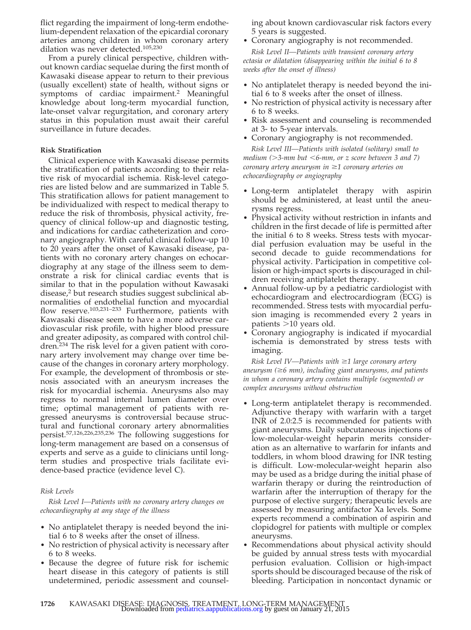flict regarding the impairment of long-term endothelium-dependent relaxation of the epicardial coronary arteries among children in whom coronary artery dilation was never detected.105,230

From a purely clinical perspective, children without known cardiac sequelae during the first month of Kawasaki disease appear to return to their previous (usually excellent) state of health, without signs or symptoms of cardiac impairment.<sup>2</sup> Meaningful knowledge about long-term myocardial function, late-onset valvar regurgitation, and coronary artery status in this population must await their careful surveillance in future decades.

# **Risk Stratification**

Clinical experience with Kawasaki disease permits the stratification of patients according to their relative risk of myocardial ischemia. Risk-level categories are listed below and are summarized in Table 5. This stratification allows for patient management to be individualized with respect to medical therapy to reduce the risk of thrombosis, physical activity, frequency of clinical follow-up and diagnostic testing, and indications for cardiac catheterization and coronary angiography. With careful clinical follow-up 10 to 20 years after the onset of Kawasaki disease, patients with no coronary artery changes on echocardiography at any stage of the illness seem to demonstrate a risk for clinical cardiac events that is similar to that in the population without Kawasaki disease,2 but research studies suggest subclinical abnormalities of endothelial function and myocardial flow reserve.<sup>103,231-233</sup> Furthermore, patients with Kawasaki disease seem to have a more adverse cardiovascular risk profile, with higher blood pressure and greater adiposity, as compared with control children.234 The risk level for a given patient with coronary artery involvement may change over time because of the changes in coronary artery morphology. For example, the development of thrombosis or stenosis associated with an aneurysm increases the risk for myocardial ischemia. Aneurysms also may regress to normal internal lumen diameter over time; optimal management of patients with regressed aneurysms is controversial because structural and functional coronary artery abnormalities persist.57,126,226,235,236 The following suggestions for long-term management are based on a consensus of experts and serve as a guide to clinicians until longterm studies and prospective trials facilitate evidence-based practice (evidence level C).

# *Risk Levels*

*Risk Level I—Patients with no coronary artery changes on echocardiography at any stage of the illness*

- No antiplatelet therapy is needed beyond the initial 6 to 8 weeks after the onset of illness.
- No restriction of physical activity is necessary after 6 to 8 weeks.
- Because the degree of future risk for ischemic heart disease in this category of patients is still undetermined, periodic assessment and counsel-

ing about known cardiovascular risk factors every 5 years is suggested.

• Coronary angiography is not recommended.

*Risk Level II—Patients with transient coronary artery ectasia or dilatation (disappearing within the initial 6 to 8 weeks after the onset of illness)*

- No antiplatelet therapy is needed beyond the initial 6 to 8 weeks after the onset of illness.
- No restriction of physical activity is necessary after 6 to 8 weeks.
- Risk assessment and counseling is recommended at 3- to 5-year intervals.
- Coronary angiography is not recommended.

*Risk Level III—Patients with isolated (solitary) small to medium (3-mm but* -*6-mm, or z score between 3 and 7) coronary artery aneurysm in* ≥1 *coronary arteries on echocardiography or angiography*

- Long-term antiplatelet therapy with aspirin should be administered, at least until the aneurysms regress.
- Physical activity without restriction in infants and children in the first decade of life is permitted after the initial 6 to 8 weeks. Stress tests with myocardial perfusion evaluation may be useful in the second decade to guide recommendations for physical activity. Participation in competitive collision or high-impact sports is discouraged in children receiving antiplatelet therapy.
- Annual follow-up by a pediatric cardiologist with echocardiogram and electrocardiogram (ECG) is recommended. Stress tests with myocardial perfusion imaging is recommended every 2 years in patients  $>10$  years old.
- Coronary angiography is indicated if myocardial ischemia is demonstrated by stress tests with imaging.

*Risk Level IV—Patients with*  $\geq$ 1 *large coronary artery aneurysm (6 mm), including giant aneurysms, and patients in whom a coronary artery contains multiple (segmented) or complex aneurysms without obstruction*

- Long-term antiplatelet therapy is recommended. Adjunctive therapy with warfarin with a target INR of 2.0:2.5 is recommended for patients with giant aneurysms. Daily subcutaneous injections of low-molecular-weight heparin merits consideration as an alternative to warfarin for infants and toddlers, in whom blood drawing for INR testing is difficult. Low-molecular-weight heparin also may be used as a bridge during the initial phase of warfarin therapy or during the reintroduction of warfarin after the interruption of therapy for the purpose of elective surgery; therapeutic levels are assessed by measuring antifactor Xa levels. Some experts recommend a combination of aspirin and clopidogrel for patients with multiple or complex aneurysms.
- Recommendations about physical activity should be guided by annual stress tests with myocardial perfusion evaluation. Collision or high-impact sports should be discouraged because of the risk of bleeding. Participation in noncontact dynamic or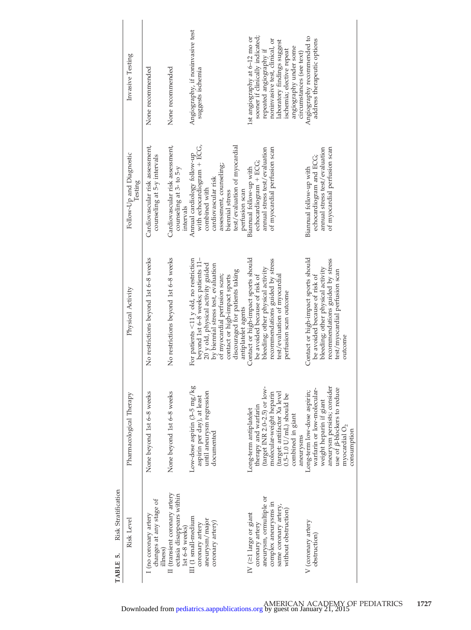| Risk Stratification<br>TABLE 5.                                                                  |                                                                                                                                                                                                          |                                                                                                                                                                                             |                                                                                                                     |                                                                                                                                                 |
|--------------------------------------------------------------------------------------------------|----------------------------------------------------------------------------------------------------------------------------------------------------------------------------------------------------------|---------------------------------------------------------------------------------------------------------------------------------------------------------------------------------------------|---------------------------------------------------------------------------------------------------------------------|-------------------------------------------------------------------------------------------------------------------------------------------------|
| Risk Level                                                                                       | Pharmacological Therapy                                                                                                                                                                                  | Physical Activity                                                                                                                                                                           | Follow-Up and Diagnostic<br>Testing                                                                                 | Invasive Testing                                                                                                                                |
| changes at any stage of<br>I (no coronary artery<br>illness)                                     | None beyond 1st 6-8 weeks                                                                                                                                                                                | No restrictions beyond 1st 6-8 weeks                                                                                                                                                        | Cardiovascular risk assessment,<br>counseling at 5-y intervals                                                      | None recommended                                                                                                                                |
| II (transient coronary artery<br>ectasia disappears within<br>1st 6-8 weeks)                     | None beyond 1st 6-8 weeks                                                                                                                                                                                | No restrictions beyond 1st 6-8 weeks                                                                                                                                                        | Cardiovascular risk assessment,<br>counseling at $3$ -to $5-y$<br>intervals                                         | None recommended                                                                                                                                |
| III (1 small-medium<br>aneurysm/major<br>coronary artery)<br>coronary artery                     | Low-dose aspirin (3-5 mg/kg<br>until aneurysm regression<br>aspirin per day), at least<br>documented                                                                                                     | For patients $\langle 11 \rangle$ old, no restriction<br>beyond 1st 6–8 weeks; patients 11–<br>20 y old, physical activity guided<br>by biennial stress test, evaluation                    | with echocardiogram + ECG,<br>Annual cardiology follow-up<br>cardiovascular risk<br>combined with                   | Angiography, if noninvasive test<br>suggests ischemia                                                                                           |
|                                                                                                  |                                                                                                                                                                                                          | discouraged for patients taking<br>of myocardial perfusion scan;<br>contact or high-impact sports<br>antiplatelet agents                                                                    | test/evaluation of myocardial<br>assessment, counseling;<br>perfusion scan<br>biennial stress                       |                                                                                                                                                 |
| $\rm IV$ ( $\geq$ 1 large or giant<br>coronary artery                                            | (target INR 2.0-2.5) or low-<br>therapy and warfarin<br>Long-term antiplatelet                                                                                                                           | Contact or high-impact sports should<br>be avoided because of risk of                                                                                                                       | echocardiogram + ECG;<br>Biamual follow-up with                                                                     | sooner if clinically indicated;<br>1st angiography at 6-12 mo or                                                                                |
| aneurysm, ormultiple or<br>complex aneurysms in<br>same coronary artery,<br>without obstruction) | molecular-weight heparin<br>(target: antifactor Xa level)<br>$0.5-1.0$ U/mL) should be<br>combined in giant                                                                                              | recommendations guided by stress<br>bleeding; other physical activity<br>test/evaluation of myocardial<br>perfusion scan outcome                                                            | annual stress test/evaluation<br>of myocardial perfusion scan                                                       | noninvasive test, clinical, or<br>laboratory findings suggest<br>angiography under some<br>ischemia; elective repeat<br>repeated angiography if |
| V (coronary artery<br>obstruction)                                                               | aneurysm persists; consider<br>use of $\beta$ -blockers to reduce<br>warfarin or low-molecular-<br>Long-term low-dose aspirin;<br>weight heparin if giant<br>myocardial $O2$<br>consumption<br>aneurysms | Contact or high-impact sports should<br>recommendations guided by stress<br>bleeding; other physical activity<br>test/myocardial perfusion scan<br>be avoided because of risk of<br>outcome | of myocardial perfusion scan<br>annual stress test/evaluation<br>echocardiogram and ECG;<br>Biannual follow-up with | Angiography recommended to<br>address therapeutic options<br>circumstances (see text)                                                           |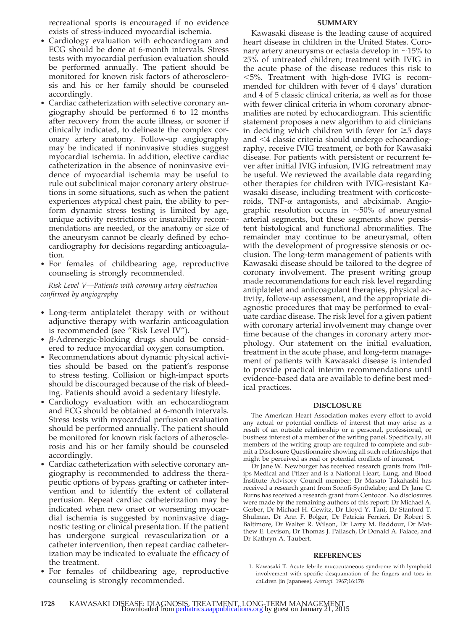recreational sports is encouraged if no evidence exists of stress-induced myocardial ischemia.

- Cardiology evaluation with echocardiogram and ECG should be done at 6-month intervals. Stress tests with myocardial perfusion evaluation should be performed annually. The patient should be monitored for known risk factors of atherosclerosis and his or her family should be counseled accordingly.
- Cardiac catheterization with selective coronary angiography should be performed 6 to 12 months after recovery from the acute illness, or sooner if clinically indicated, to delineate the complex coronary artery anatomy. Follow-up angiography may be indicated if noninvasive studies suggest myocardial ischemia. In addition, elective cardiac catheterization in the absence of noninvasive evidence of myocardial ischemia may be useful to rule out subclinical major coronary artery obstructions in some situations, such as when the patient experiences atypical chest pain, the ability to perform dynamic stress testing is limited by age, unique activity restrictions or insurability recommendations are needed, or the anatomy or size of the aneurysm cannot be clearly defined by echocardiography for decisions regarding anticoagulation.
- For females of childbearing age, reproductive counseling is strongly recommended.

*Risk Level V—Patients with coronary artery obstruction confirmed by angiography*

- Long-term antiplatelet therapy with or without adjunctive therapy with warfarin anticoagulation is recommended (see "Risk Level IV").
- $\beta$ -Adrenergic-blocking drugs should be considered to reduce myocardial oxygen consumption.
- Recommendations about dynamic physical activities should be based on the patient's response to stress testing. Collision or high-impact sports should be discouraged because of the risk of bleeding. Patients should avoid a sedentary lifestyle.
- Cardiology evaluation with an echocardiogram and ECG should be obtained at 6-month intervals. Stress tests with myocardial perfusion evaluation should be performed annually. The patient should be monitored for known risk factors of atherosclerosis and his or her family should be counseled accordingly.
- Cardiac catheterization with selective coronary angiography is recommended to address the therapeutic options of bypass grafting or catheter intervention and to identify the extent of collateral perfusion. Repeat cardiac catheterization may be indicated when new onset or worsening myocardial ischemia is suggested by noninvasive diagnostic testing or clinical presentation. If the patient has undergone surgical revascularization or a catheter intervention, then repeat cardiac catheterization may be indicated to evaluate the efficacy of the treatment.
- For females of childbearing age, reproductive counseling is strongly recommended.

#### **SUMMARY**

Kawasaki disease is the leading cause of acquired heart disease in children in the United States. Coronary artery aneurysms or ectasia develop in  $\sim$ 15% to 25% of untreated children; treatment with IVIG in the acute phase of the disease reduces this risk to -5%. Treatment with high-dose IVIG is recommended for children with fever of 4 days' duration and 4 of 5 classic clinical criteria, as well as for those with fewer clinical criteria in whom coronary abnormalities are noted by echocardiogram. This scientific statement proposes a new algorithm to aid clinicians in deciding which children with fever for  $\geq$  5 days and -4 classic criteria should undergo echocardiography, receive IVIG treatment, or both for Kawasaki disease. For patients with persistent or recurrent fever after initial IVIG infusion, IVIG retreatment may be useful. We reviewed the available data regarding other therapies for children with IVIG-resistant Kawasaki disease, including treatment with corticosteroids, TNF- $\alpha$  antagonists, and abciximab. Angiographic resolution occurs in  $~50\%$  of aneurysmal arterial segments, but these segments show persistent histological and functional abnormalities. The remainder may continue to be aneurysmal, often with the development of progressive stenosis or occlusion. The long-term management of patients with Kawasaki disease should be tailored to the degree of coronary involvement. The present writing group made recommendations for each risk level regarding antiplatelet and anticoagulant therapies, physical activity, follow-up assessment, and the appropriate diagnostic procedures that may be performed to evaluate cardiac disease. The risk level for a given patient with coronary arterial involvement may change over time because of the changes in coronary artery morphology. Our statement on the initial evaluation, treatment in the acute phase, and long-term management of patients with Kawasaki disease is intended to provide practical interim recommendations until evidence-based data are available to define best medical practices.

#### **DISCLOSURE**

The American Heart Association makes every effort to avoid any actual or potential conflicts of interest that may arise as a result of an outside relationship or a personal, professional, or business interest of a member of the writing panel. Specifically, all members of the writing group are required to complete and submit a Disclosure Questionnaire showing all such relationships that might be perceived as real or potential conflicts of interest.

Dr Jane W. Newburger has received research grants from Philips Medical and Pfizer and is a National Heart, Lung, and Blood Institute Advisory Council member; Dr Masato Takahashi has received a research grant from Sonofi-Synthelabo; and Dr Jane C. Burns has received a research grant from Centocor. No disclosures were made by the remaining authors of this report: Dr Michael A. Gerber, Dr Michael H. Gewitz, Dr Lloyd Y. Tani, Dr Stanford T. Shulman, Dr Ann F. Bolger, Dr Patricia Ferrieri, Dr Robert S. Baltimore, Dr Walter R. Wilson, Dr Larry M. Baddour, Dr Matthew E. Levison, Dr Thomas J. Pallasch, Dr Donald A. Falace, and Dr Kathryn A. Taubert.

#### **REFERENCES**

1. Kawasaki T. Acute febrile mucocutaneous syndrome with lymphoid involvement with specific desquamation of the fingers and toes in children [in Japanese]. *Arerugi.* 1967;16:178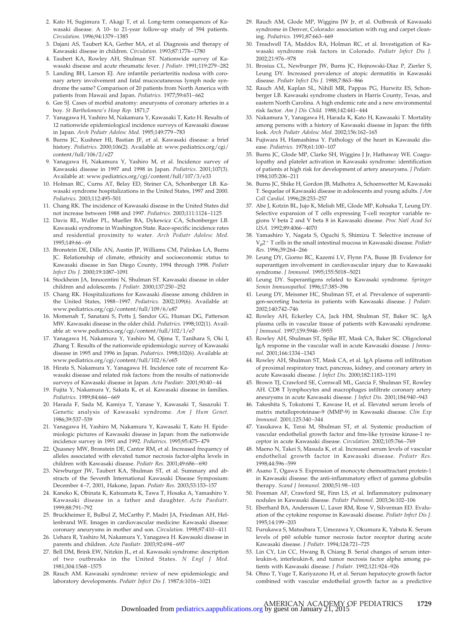- 2. Kato H, Sugimura T, Akagi T, et al. Long-term consequences of Kawasaki disease. A 10- to 21-year follow-up study of 594 patients. *Circulation.* 1996;94:1379 –1385
- 3. Dajani AS, Taubert KA, Gerber MA, et al. Diagnosis and therapy of Kawasaki disease in children. *Circulation.* 1993;87:1776 –1780
- 4. Taubert KA, Rowley AH, Shulman ST. Nationwide survey of Kawasaki disease and acute rheumatic fever. *J Pediatr.* 1991;119:279 –282
- 5. Landing BH, Larson EJ. Are infantile periarteritis nodosa with coronary artery involvement and fatal mucocutaneous lymph node syndrome the same? Comparison of 20 patients from North America with patients from Hawaii and Japan. *Pediatrics.* 1977;59:651– 662
- 6. Gee SJ. Cases of morbid anatomy: aneurysms of coronary arteries in a boy. *St Bartholomew's Hosp Rep.* 1871;7
- 7. Yanagawa H, Yashiro M, Nakamura Y, Kawasaki T, Kato H. Results of 12 nationwide epidemiological incidence surveys of Kawasaki disease in Japan. *Arch Pediatr Adolesc Med.* 1995;149:779 –783
- 8. Burns JC, Kushner HI, Bastian JF, et al. Kawasaki disease: a brief history. *Pediatrics.* 2000;106(2). Available at: www.pediatrics.org/cgi/ content/full/106/2/e27
- 9. Yanagawa H, Nakamura Y, Yashiro M, et al. Incidence survey of Kawasaki disease in 1997 and 1998 in Japan. *Pediatrics.* 2001;107(3). Available at: www.pediatrics.org/cgi/content/full/107/3/e33
- 10. Holman RC, Curns AT, Belay ED, Steiner CA, Schonberger LB. Kawasaki syndrome hospitalizations in the United States, 1997 and 2000. *Pediatrics.* 2003;112:495–501
- 11. Chang RK. The incidence of Kawasaki disease in the United States did not increase between 1988 and 1997. *Pediatrics.* 2003;111:1124 –1125
- 12. Davis RL, Waller PL, Mueller BA, Dykewicz CA, Schonberger LB. Kawasaki syndrome in Washington State. Race-specific incidence rates and residential proximity to water. *Arch Pediatr Adolesc Med.* 1995;149:66 – 69
- 13. Bronstein DE, Dille AN, Austin JP, Williams CM, Palinkas LA, Burns JC. Relationship of climate, ethnicity and socioeconomic status to Kawasaki disease in San Diego County, 1994 through 1998. *Pediatr Infect Dis J.* 2000;19:1087–1091
- 14. Stockheim JA, Innocentini N, Shulman ST. Kawasaki disease in older children and adolescents. *J Pediatr.* 2000;137:250 –252
- 15. Chang RK. Hospitalizations for Kawasaki disease among children in the United States, 1988 –1997. *Pediatrics.* 2002;109(6). Available at: www.pediatrics.org/cgi/content/full/109/6/e87
- 16. Momenah T, Sanatani S, Potts J, Sandor GG, Human DG, Patterson MW. Kawasaki disease in the older child. *Pediatrics.* 1998;102(1). Available at: www.pediatrics.org/cgi/content/full/102/1/e7
- 17. Yanagawa H, Nakamura Y, Yashiro M, Ojima T, Tanihara S, Oki I, Zhang T. Results of the nationwide epidemiologic survey of Kawasaki disease in 1995 and 1996 in Japan. *Pediatrics.* 1998;102(6). Available at: www.pediatrics.org/cgi/content/full/102/6/e65
- 18. Hirata S, Nakamura Y, Yanagawa H. Incidence rate of recurrent Kawasaki disease and related risk factors: from the results of nationwide surveys of Kawasaki disease in Japan. *Acta Paediatr.* 2001;90:40 – 44
- 19. Fujita Y, Nakamura Y, Sakata K, et al. Kawasaki disease in families. *Pediatrics.* 1989;84:666 – 669
- 20. Harada F, Sada M, Kamiya T, Yanase Y, Kawasaki T, Sasazuki T. Genetic analysis of Kawasaki syndrome. *Am J Hum Genet.* 1986;39:537–539
- 21. Yanagawa H, Yashiro M, Nakamura Y, Kawasaki T, Kato H. Epidemiologic pictures of Kawasaki disease in Japan: from the nationwide incidence survey in 1991 and 1992. *Pediatrics.* 1995;95:475– 479
- 22. Quasney MW, Bronstein DE, Cantor RM, et al. Increased frequency of alleles associated with elevated tumor necrosis factor-alpha levels in children with Kawasaki disease. *Pediatr Res.* 2001;49:686 – 690
- 23. Newburger JW, Taubert KA, Shulman ST, et al. Summary and abstracts of the Seventh International Kawasaki Disease Symposium: December 4 –7, 2001, Hakone, Japan. *Pediatr Res.* 2003;53:153–157
- 24. Kaneko K, Obinata K, Katsumata K, Tawa T, Hosaka A, Yamashiro Y. Kawasaki disease in a father and daughter. *Acta Paediatr.* 1999;88:791–792
- 25. Bruckheimer E, Bulbul Z, McCarthy P, Madri JA, Friedman AH, Hellenbrand WE. Images in cardiovascular medicine: Kawasaki disease: coronary aneurysms in mother and son. *Circulation.* 1998;97:410 – 411
- 26. Uehara R, Yashiro M, Nakamura Y, Yanagawa H. Kawasaki disease in parents and children. *Acta Paediatr.* 2003;92:694 – 697
- 27. Bell DM, Brink EW, Nitzkin JL, et al. Kawasaki syndrome: description of two outbreaks in the United States. *N Engl J Med.* 1981;304:1568 –1575
- 28. Rauch AM. Kawasaki syndrome: review of new epidemiologic and laboratory developments. *Pediatr Infect Dis J.* 1987;6:1016 –1021
- 29. Rauch AM, Glode MP, Wiggins JW Jr, et al. Outbreak of Kawasaki syndrome in Denver, Colorado: association with rug and carpet cleaning. *Pediatrics.* 1991;87:663– 669
- 30. Treadwell TA, Maddox RA, Holman RC, et al. Investigation of Kawasaki syndrome risk factors in Colorado. *Pediatr Infect Dis J.* 2002;21:976 –978
- 31. Brosius CL, Newburger JW, Burns JC, Hojnowski-Diaz P, Zierler S, Leung DY. Increased prevalence of atopic dermatitis in Kawasaki disease. *Pediatr Infect Dis J.* 1988;7:863– 866
- 32. Rauch AM, Kaplan SL, Nihill MR, Pappas PG, Hurwitz ES, Schonberger LB. Kawasaki syndrome clusters in Harris County, Texas, and eastern North Carolina. A high endemic rate and a new environmental risk factor. *Am J Dis Child.* 1988;142:441– 444
- 33. Nakamura Y, Yanagawa H, Harada K, Kato H, Kawasaki T. Mortality among persons with a history of Kawasaki disease in Japan: the fifth look. *Arch Pediatr Adolesc Med.* 2002;156:162–165
- 34. Fujiwara H, Hamashima Y. Pathology of the heart in Kawasaki disease. *Pediatrics.* 1978;61:100 –107
- 35. Burns JC, Glode MP, Clarke SH, Wiggins J Jr, Hathaway WE. Coagulopathy and platelet activation in Kawasaki syndrome: identification of patients at high risk for development of artery aneurysms. *J Pediatr.* 1984;105:206 –211
- 36. Burns JC, Shike H, Gordon JB, Malhotra A, Schoenwetter M, Kawasaki T. Sequelae of Kawasaki disease in adolescents and young adults. *J Am Coll Cardiol.* 1996;28:253–257
- 37. Abe J, Kotzin BL, Jujo K, Melish ME, Glode MP, Kohsaka T, Leung DY. Selective expansion of T cells expressing T-cell receptor variable regions V beta 2 and V beta 8 in Kawasaki disease. *Proc Natl Acad Sci USA.* 1992;89:4066 – 4070
- 38. Yamashiro Y, Nagata S, Oguchi S, Shimizu T. Selective increase of V2 T cells in the small intestinal mucosa in Kawasaki disease. *Pediatr Res.* 1996;39:264 –266
- 39. Leung DY, Giorno RC, Kazemi LV, Flynn PA, Busse JB. Evidence for superantigen involvement in cardiovascular injury due to Kawasaki syndrome. *J Immunol.* 1995;155:5018 –5021
- 40. Leung DY. Superantigens related to Kawasaki syndrome. *Springer Semin Immunopathol.* 1996;17:385–396
- 41. Leung DY, Meissner HC, Shulman ST, et al. Prevalence of superantigen-secreting bacteria in patients with Kawasaki disease. *J Pediatr.* 2002;140:742–746
- 42. Rowley AH, Eckerley CA, Jack HM, Shulman ST, Baker SC. IgA plasma cells in vascular tissue of patients with Kawasaki syndrome. *J Immunol.* 1997;159:5946 –5955
- 43. Rowley AH, Shulman ST, Spike BT, Mask CA, Baker SC. Oligoclonal IgA response in the vascular wall in acute Kawasaki disease. *J Immunol.* 2001;166:1334 –1343
- 44. Rowley AH, Shulman ST, Mask CA, et al. IgA plasma cell infiltration of proximal respiratory tract, pancreas, kidney, and coronary artery in acute Kawasaki disease. *J Infect Dis.* 2000;182:1183–1191
- 45. Brown TJ, Crawford SE, Cornwall ML, Garcia F, Shulman ST, Rowley AH. CD8 T lymphocytes and macrophages infiltrate coronary artery aneurysms in acute Kawasaki disease. *J Infect Dis.* 2001;184:940 –943
- 46. Takeshita S, Tokutomi T, Kawase H, et al. Elevated serum levels of matrix metalloproteinase-9 (MMP-9) in Kawasaki disease. *Clin Exp Immunol.* 2001;125:340 –344
- 47. Yasukawa K, Terai M, Shulman ST, et al. Systemic production of vascular endothelial growth factor and fms-like tyrosine kinase-1 receptor in acute Kawasaki disease. *Circulation.* 2002;105:766 –769
- 48. Maeno N, Takei S, Masuda K, et al. Increased serum levels of vascular endothelial growth factor in Kawasaki disease. *Pediatr Res.* 1998;44:596 –599
- 49. Asano T, Ogawa S. Expression of monocyte chemoattractant protein-1 in Kawasaki disease: the anti-inflammatory effect of gamma globulin therapy. *Scand J Immunol.* 2000;51:98 –103
- 50. Freeman AF, Crawford SE, Finn LS, et al. Inflammatory pulmonary nodules in Kawasaki disease. *Pediatr Pulmonol.* 2003;36:102–106
- 51. Eberhard BA, Andersson U, Laxer RM, Rose V, Silverman ED. Evaluation of the cytokine response in Kawasaki disease. *Pediatr Infect Dis J.* 1995;14:199 –203
- 52. Furukawa S, Matsubara T, Umezawa Y, Okumura K, Yabuta K. Serum levels of p60 soluble tumor necrosis factor receptor during acute Kawasaki disease. *J Pediatr.* 1994;124:721–725
- 53. Lin CY, Lin CC, Hwang B, Chiang B. Serial changes of serum interleukin-6, interleukin-8, and tumor necrosis factor alpha among patients with Kawasaki disease. *J Pediatr.* 1992;121:924 –926
- 54. Ohno T, Yuge T, Kariyazono H, et al. Serum hepatocyte growth factor combined with vascular endothelial growth factor as a predictive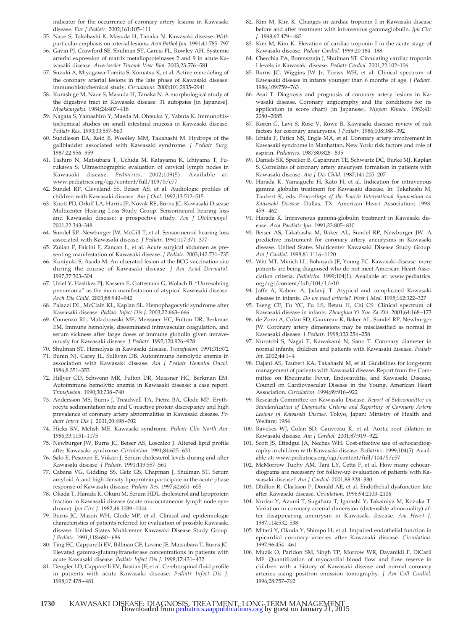indicator for the occurrence of coronary artery lesions in Kawasaki disease. *Eur J Pediatr.* 2002;161:105–111

- 55. Naoe S, Takahashi K, Masuda H, Tanaka N. Kawasaki disease. With particular emphasis on arterial lesions. *Acta Pathol Jpn.* 1991;41:785–797
- 56. Gavin PJ, Crawford SE, Shulman ST, Garcia FL, Rowley AH. Systemic arterial expression of matrix metalloproteinases 2 and 9 in acute Kawasaki disease. *Arterioscler Thromb Vasc Biol.* 2003;23:576 –581
- 57. Suzuki A, Miyagawa-Tomita S, Komatsu K, et al. Active remodeling of the coronary arterial lesions in the late phase of Kawasaki disease: immunohistochemical study. *Circulation.* 2000;101:2935–2941
- 58. Kurashige M, Naoe S, Masuda H, Tanaka N. A morphological study of the digestive tract in Kawasaki disease: 31 autopsies [in Japanese]. *Myakkangaku.* 1984;24:407– 418
- 59. Nagata S, Yamashiro Y, Maeda M, Ohtsuka Y, Yabuta K. Immunohistochemical studies on small intestinal mucosa in Kawasaki disease. *Pediatr Res.* 1993;33:557–563
- 60. Suddleson EA, Reid B, Woolley MM, Takahashi M. Hydrops of the gallbladder associated with Kawasaki syndrome. *J Pediatr Surg.* 1987;22:956 –959
- 61. Tashiro N, Matsubara T, Uchida M, Katayama K, Ichiyama T, Furukawa S. Ultrasonographic evaluation of cervical lymph nodes in Kawasaki disease. *Pediatrics.* 2002;109(5). Available at: www.pediatrics.org/cgi/content/full/109/5/e77
- 62. Sundel RP, Cleveland SS, Beiser AS, et al. Audiologic profiles of children with Kawasaki disease. *Am J Otol.* 1992;13:512–515
- 63. Knott PD, Orloff LA, Harris JP, Novak RE, Burns JC; Kawasaki Disease Multicenter Hearing Loss Study Group. Sensorineural hearing loss and Kawasaki disease: a prospective study. *Am J Otolaryngol.* 2001;22:343–348
- 64. Sundel RP, Newburger JW, McGill T, et al. Sensorineural hearing loss associated with Kawasaki disease. *J Pediatr.* 1990;117:371–377
- 65. Zulian F, Falcini F, Zancan L, et al. Acute surgical abdomen as presenting manifestation of Kawasaki disease. *J Pediatr.* 2003;142:731–735
- 66. Kuniyuki S, Asada M. An ulcerated lesion at the BCG vaccination site during the course of Kawasaki disease. *J Am Acad Dermatol.* 1997;37:303–304
- 67. Uziel Y, Hashkes PJ, Kassem E, Gottesman G, Wolach B. "Unresolving pneumonia" as the main manifestation of atypical Kawasaki disease. *Arch Dis Child.* 2003;88:940 –942
- 68. Palazzi DL, McClain KL, Kaplan SL. Hemophagocytic syndrome after Kawasaki disease. *Pediatr Infect Dis J.* 2003;22:663– 666
- 69. Comenzo RL, Malachowski ME, Meissner HC, Fulton DR, Berkman EM. Immune hemolysis, disseminated intravascular coagulation, and serum sickness after large doses of immune globulin given intravenously for Kawasaki disease. *J Pediatr.* 1992;120:926 –928
- 70. Shulman ST. Hemolysis in Kawasaki disease. *Transfusion.* 1991;31:572
- 71. Bunin NJ, Carey JL, Sullivan DB. Autoimmune hemolytic anemia in association with Kawasaki disease. *Am J Pediatr Hematol Oncol.* 1986;8:351–353
- 72. Hillyer CD, Schwenn MR, Fulton DR, Meissner HC, Berkman EM. Autoimmune hemolytic anemia in Kawasaki disease: a case report. *Transfusion.* 1990;30:738 –740
- 73. Andersson MS, Burns J, Treadwell TA, Pietra BA, Glode MP. Erythrocyte sedimentation rate and C-reactive protein discrepancy and high prevalence of coronary artery abnormalities in Kawasaki disease. *Pediatr Infect Dis J.* 2001;20:698 –702
- 74. Hicks RV, Melish ME. Kawasaki syndrome. *Pediatr Clin North Am.* 1986;33:1151–1175
- 75. Newburger JW, Burns JC, Beiser AS, Loscalzo J. Altered lipid profile after Kawasaki syndrome. *Circulation.* 1991;84:625– 631
- 76. Salo E, Pesonen E, Viikari J. Serum cholesterol levels during and after Kawasaki disease. *J Pediatr.* 1991;119:557–561
- 77. Cabana VG, Gidding SS, Getz GS, Chapman J, Shulman ST. Serum amyloid A and high density lipoprotein participate in the acute phase response of Kawasaki disease. *Pediatr Res.* 1997;42:651– 655
- 78. Okada T, Harada K, Okuni M. Serum HDL-cholesterol and lipoprotein fraction in Kawasaki disease (acute mucocutaneous lymph node syndrome). *Jpn Circ J.* 1982;46:1039 –1044
- 79. Burns JC, Mason WH, Glode MP, et al. Clinical and epidemiologic characteristics of patients referred for evaluation of possible Kawasaki disease. United States Multicenter Kawasaki Disease Study Group. *J Pediatr.* 1991;118:680 – 686
- 80. Ting EC, Capparelli EV, Billman GF, Lavine JE, Matsubara T, Burns JC. Elevated gamma-glutamyltransferase concentrations in patients with acute Kawasaki disease. *Pediatr Infect Dis J.* 1998;17:431– 432
- 81. Dengler LD, Capparelli EV, Bastian JF, et al. Cerebrospinal fluid profile in patients with acute Kawasaki disease. *Pediatr Infect Dis J.* 1998;17:478 – 481
- 82. Kim M, Kim K. Changes in cardiac troponin I in Kawasaki disease before and after treatment with intravenous gammaglobulin. *Jpn Circ J.* 1998;62:479 – 482
- 83. Kim M, Kim K. Elevation of cardiac troponin I in the acute stage of Kawasaki disease. *Pediatr Cardiol.* 1999;20:184 –188
- 84. Checchia PA, Borensztajn J, Shulman ST. Circulating cardiac troponin I levels in Kawasaki disease. *Pediatr Cardiol.* 2001;22:102–106
- 85. Burns JC, Wiggins JW Jr, Toews WH, et al. Clinical spectrum of Kawasaki disease in infants younger than 6 months of age. *J Pediatr.* 1986;109:759 –763
- 86. Asai T. Diagnosis and prognosis of coronary artery lesions in Kawasaki disease. Coronary angiography and the conditions for its application (a score chart) [in Japanese]. *Nippon Rinsho.* 1983;41: 2080 –2085
- 87. Koren G, Lavi S, Rose V, Rowe R. Kawasaki disease: review of risk factors for coronary aneurysms. *J Pediatr.* 1986;108:388 –392
- 88. Ichida F, Fatica NS, Engle MA, et al. Coronary artery involvement in Kawasaki syndrome in Manhattan, New York: risk factors and role of aspirin. *Pediatrics.* 1987;80:828 – 835
- 89. Daniels SR, Specker B, Capannari TE, Schwartz DC, Burke MJ, Kaplan S. Correlates of coronary artery aneurysm formation in patients with Kawasaki disease. *Am J Dis Child.* 1987;141:205–207
- 90. Harada K, Yamaguchi H, Kato H, et al. Indication for intravenous gamma globulin treatment for Kawasaki disease. In: Takahashi M, Taubert K, eds. *Proceedings of the Fourth International Symposium on Kawasaki Disease*. Dallas, TX: American Heart Association; 1993: 459 – 462
- 91. Harada K. Intravenous gamma-globulin treatment in Kawasaki disease. *Acta Paediatr Jpn.* 1991;33:805– 810
- 92. Beiser AS, Takahasha M, Baker AL, Sundel RP, Newburger JW. A predictive instrument for coronary artery aneurysms in Kawasaki disease. United States Multicenter Kawasaki Disease Study Group. *Am J Cardiol.* 1998;81:1116 –1120
- 93. Witt MT, Minich LL, Bohnsack JF, Young PC. Kawasaki disease: more patients are being diagnosed who do not meet American Heart Association criteria. *Pediatrics.* 1999;104(1). Available at: www.pediatrics. org/cgi/content/full/104/1/e10
- 94. Joffe A, Kabani A, Jadavji T. Atypical and complicated Kawasaki disease in infants. *Do we need criteria? West J Med.* 1995;162:322–327
- 95. Tseng CF, Fu YC, Fu LS, Betau H, Chi CS. Clinical spectrum of Kawasaki disease in infants. *Zhonghua Yi Xue Za Zhi.* 2001;64:168 –173
- 96. de Zorzi A, Colan SD, Gauvreau K, Baker AL, Sundel RP, Newburger JW. Coronary artery dimensions may be misclassified as normal in Kawasaki disease. *J Pediatr.* 1998;133:254 –258
- 97. Kurotobi S, Nagai T, Kawakami N, Sano T. Coronary diameter in normal infants, children and patients with Kawasaki disease. *Pediatr Int.* 2002;44:1– 4
- 98. Dajani AS, Taubert KA, Takahashi M, et al. Guidelines for long-term management of patients with Kawasaki disease. Report from the Committee on Rheumatic Fever, Endocarditis, and Kawasaki Disease, Council on Cardiovascular Disease in the Young, American Heart Association. *Circulation.* 1994;89:916 –922
- 99. Research Committee on Kawasaki Disease. *Report of Subcommittee on Standardization of Diagnostic Criteria and Reporting of Coronary Artery Lesions in Kawasaki Disease*. Tokyo, Japan: Ministry of Health and Welfare; 1984
- 100. Ravekes WJ, Colan SD, Gauvreau K, et al. Aortic root dilation in Kawasaki disease. *Am J Cardiol.* 2001;87:919 –922
- 101. Scott JS, Ettedgui JA, Neches WH. Cost-effective use of echocardiography in children with Kawasaki disease. *Pediatrics.* 1999;104(5). Available at: www.pediatrics.org/cgi/content/full/104/5/e57
- 102. McMorrow Tuohy AM, Tani LY, Cetta F, et al. How many echocardiograms are necessary for follow-up evaluation of patients with Kawasaki disease? *Am J Cardiol.* 2001;88:328 –330
- 103. Dhillon R, Clarkson P, Donald AE, et al. Endothelial dysfunction late after Kawasaki disease. *Circulation.* 1996;94:2103–2106
- 104. Kurisu Y, Azumi T, Sugahara T, Igarashi Y, Takamiya M, Kozuka T. Variation in coronary arterial dimension (distensible abnormality) after disappearing aneurysm in Kawasaki disease. *Am Heart J.* 1987;114:532–538
- 105. Mitani Y, Okuda Y, Shimpo H, et al. Impaired endothelial function in epicardial coronary arteries after Kawasaki disease. *Circulation.* 1997;96:454 – 461
- 106. Muzik O, Paridon SM, Singh TP, Morrow WR, Dayanikli F, DiCarli MF. Quantification of myocardial blood flow and flow reserve in children with a history of Kawasaki disease and normal coronary arteries using positron emission tomography. *J Am Coll Cardiol.* 1996;28:757–762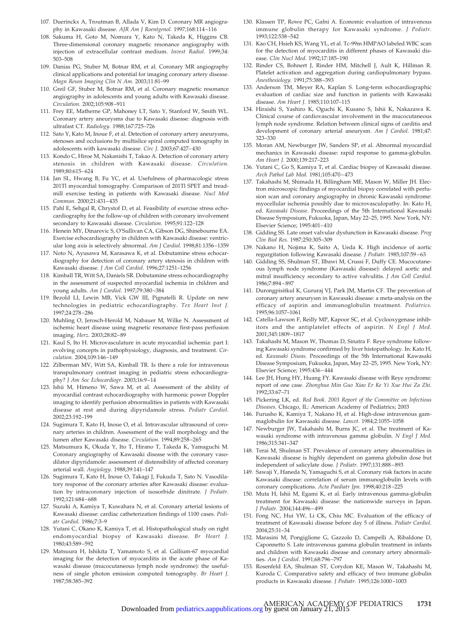- 107. Duerinckx A, Troutman B, Allada V, Kim D. Coronary MR angiography in Kawasaki disease. *AJR Am J Roentgenol.* 1997;168:114 –116
- 108. Sakuma H, Goto M, Nomura Y, Kato N, Takeda K, Higgins CB. Three-dimensional coronary magnetic resonance angiography with injection of extracellular contrast medium. *Invest Radiol.* 1999;34: 503–508
- 109. Danias PG, Stuber M, Botnar RM, et al. Coronary MR angiography clinical applications and potential for imaging coronary artery disease. *Magn Reson Imaging Clin N Am.* 2003;11:81–99
- 110. Greil GF, Stuber M, Botnar RM, et al. Coronary magnetic resonance angiography in adolescents and young adults with Kawasaki disease. *Circulation.* 2002;105:908 –911
- 111. Frey EE, Matherne GP, Mahoney LT, Sato Y, Stanford W, Smith WL. Coronary artery aneurysms due to Kawasaki disease: diagnosis with ultrafast CT. *Radiology.* 1988;167:725–726
- 112. Sato Y, Kato M, Inoue F, et al. Detection of coronary artery aneurysms, stenoses and occlusions by multislice spiral computed tomography in adolescents with kawasaki disease. *Circ J.* 2003;67:427– 430
- 113. Kondo C, Hiroe M, Nakanishi T, Takao A. Detection of coronary artery stenosis in children with Kawasaki disease. *Circulation.* 1989;80:615– 624
- 114. Jan SL, Hwang B, Fu YC, et al. Usefulness of pharmacologic stress 201Tl myocardial tomography. Comparison of 201Tl SPET and treadmill exercise testing in patients with Kawasaki disease. *Nucl Med Commun.* 2000;21:431– 435
- 115. Pahl E, Sehgal R, Chrystof D, et al. Feasibility of exercise stress echocardiography for the follow-up of children with coronary involvement secondary to Kawasaki disease. *Circulation.* 1995;91:122–128
- 116. Henein MY, Dinarevic S, O'Sullivan CA, Gibson DG, Shinebourne EA. Exercise echocardiography in children with Kawasaki disease: ventricular long axis is selectively abnormal. *Am J Cardiol.* 1998;81:1356 –1359
- 117. Noto N, Ayusawa M, Karasawa K, et al. Dobutamine stress echocardiography for detection of coronary artery stenosis in children with Kawasaki disease. *J Am Coll Cardiol.* 1996;27:1251–1256
- 118. Kimball TR, Witt SA, Daniels SR. Dobutamine stress echocardiography in the assessment of suspected myocardial ischemia in children and young adults. *Am J Cardiol.* 1997;79:380 –384
- 119. Bezold LI, Lewin MB, Vick GW III, Pignatelli R. Update on new technologies in pediatric echocardiography. *Tex Heart Inst J.* 1997;24:278 –286
- 120. Muhling O, Jerosch-Herold M, Nabauer M, Wilke N. Assessment of ischemic heart disease using magnetic resonance first-pass perfusion imaging. *Herz.* 2003;28:82– 89
- 121. Kaul S, Ito H. Microvasculature in acute myocardial ischemia: part I: evolving concepts in pathophysiology, diagnosis, and treatment. *Circulation.* 2004;109:146 –149
- 122. Zilberman MV, Witt SA, Kimball TR. Is there a role for intravenous transpulmonary contrast imaging in pediatric stress echocardiography? *J Am Soc Echocardiogr.* 2003;16:9 –14
- 123. Ishii M, Himeno W, Sawa M, et al. Assessment of the ability of myocardial contrast echocardiography with harmonic power Doppler imaging to identify perfusion abnormalities in patients with Kawasaki disease at rest and during dipyridamole stress. *Pediatr Cardiol.* 2002;23:192–199
- 124. Sugimura T, Kato H, Inoue O, et al. Intravascular ultrasound of coronary arteries in children. Assessment of the wall morphology and the lumen after Kawasaki disease. *Circulation.* 1994;89:258 –265
- 125. Matsumura K, Okuda Y, Ito T, Hirano T, Takeda K, Yamaguchi M. Coronary angiography of Kawasaki disease with the coronary vasodilator dipyridamole: assessment of distensibility of affected coronary arterial wall. *Angiology.* 1988;39:141–147
- 126. Sugimura T, Kato H, Inoue O, Takagi J, Fukuda T, Sato N. Vasodilatory response of the coronary arteries after Kawasaki disease: evaluation by intracoronary injection of isosorbide dinitrate. *J Pediatr.* 1992;121:684 – 688
- 127. Suzuki A, Kamiya T, Kuwahara N, et al. Coronary arterial lesions of Kawasaki disease: cardiac catheterization findings of 1100 cases. *Pediatr Cardiol.* 1986;7:3–9
- 128. Yutani C, Okano K, Kamiya T, et al. Histopathological study on right endomyocardial biopsy of Kawasaki disease. *Br Heart J.* 1980;43:589 –592
- 129. Matsuura H, Ishikita T, Yamamoto S, et al. Gallium-67 myocardial imaging for the detection of myocarditis in the acute phase of Kawasaki disease (mucocutaneous lymph node syndrome): the usefulness of single photon emission computed tomography. *Br Heart J.* 1987;58:385–392
- 130. Klassen TP, Rowe PC, Gafni A. Economic evaluation of intravenous immune globulin therapy for Kawasaki syndrome. *J Pediatr.* 1993;122:538 –542
- 131. Kao CH, Hsieh KS, Wang YL, et al. Tc-99m HMPAO labeled WBC scan for the detection of myocarditis in different phases of Kawasaki disease. *Clin Nucl Med.* 1992;17:185–190
- 132. Rinder CS, Bohnert J, Rinder HM, Mitchell J, Ault K, Hillman R. Platelet activation and aggregation during cardiopulmonary bypass. *Anesthesiology.* 1991;75:388 –393
- 133. Anderson TM, Meyer RA, Kaplan S. Long-term echocardiographic evaluation of cardiac size and function in patients with Kawasaki disease. *Am Heart J.* 1985;110:107–115
- 134. Hiraishi S, Yashiro K, Oguchi K, Kusano S, Ishii K, Nakazawa K. Clinical course of cardiovascular involvement in the mucocutaneous lymph node syndrome. Relation between clinical signs of carditis and development of coronary arterial aneurysm. *Am J Cardiol.* 1981;47: 323–330
- 135. Moran AM, Newburger JW, Sanders SP, et al. Abnormal myocardial mechanics in Kawasaki disease: rapid response to gamma-globulin. *Am Heart J.* 2000;139:217–223
- 136. Yutani C, Go S, Kamiya T, et al. Cardiac biopsy of Kawasaki disease. *Arch Pathol Lab Med.* 1981;105:470 – 473
- 137. Takahashi M, Shimada H, Billingham ME, Mason W, Miller JH. Electron microscopic findings of myocardial biopsy correlated with perfusion scan and coronary angiography in chronic Kawasaki syndrome: myocellular ischemia possibly due to microvasculopathy. In: Kato H, ed. *Kawasaki Disease*. Proceedings of the 5th International Kawasaki Disease Symposium, Fukuoka, Japan, May 22–25, 1995. New York, NY: Elsevier Science; 1995:401– 410
- 138. Gidding SS. Late onset valvular dysfunction in Kawasaki disease. *Prog Clin Biol Res.* 1987;250:305–309
- 139. Nakano H, Nojima K, Saito A, Ueda K. High incidence of aortic regurgitation following Kawasaki disease. *J Pediatr.* 1985;107:59 – 63
- 140. Gidding SS, Shulman ST, Ilbawi M, Crussi F, Duffy CE. Mucocutaneous lymph node syndrome (Kawasaki disease): delayed aortic and mitral insufficiency secondary to active valvulitis. *J Am Coll Cardiol.* 1986;7:894 – 897
- 141. Durongpisitkul K, Gururaj VJ, Park JM, Martin CF. The prevention of coronary artery aneurysm in Kawasaki disease: a meta-analysis on the efficacy of aspirin and immunoglobulin treatment. *Pediatrics.* 1995;96:1057–1061
- 142. Catella-Lawson F, Reilly MP, Kapoor SC, et al. Cyclooxygenase inhibitors and the antiplatelet effects of aspirin. *N Engl J Med.* 2001;345:1809 –1817
- 143. Takahashi M, Mason W, Thomas D, Sinatra F. Reye syndrome following Kawasaki syndrome confirmed by liver histopathology. In: Kato H, ed. *Kawasaki Diseas*. Proceedings of the 5th International Kawasaki Disease Symposium, Fukuoka, Japan, May 22–25, 1995. New York, NY: Elsevier Science; 1995:436 – 444
- 144. Lee JH, Hung HY, Huang FY. Kawasaki disease with Reye syndrome: report of one case. *Zhonghua Min Guo Xiao Er Ke Yi Xue Hui Za Zhi.* 1992;33:67–71
- 145. Pickering LK, ed. *Red Book. 2003 Report of the Committee on Infectious Diseases*. Chicago, IL: American Academy of Pediatrics; 2003
- 146. Furusho K, Kamiya T, Nakano H, et al. High-dose intravenous gammaglobulin for Kawasaki disease. *Lancet.* 1984;2:1055–1058
- 147. Newburger JW, Takahashi M, Burns JC, et al. The treatment of Kawasaki syndrome with intravenous gamma globulin. *N Engl J Med.* 1986;315:341–347
- 148. Terai M, Shulman ST. Prevalence of coronary artery abnormalities in Kawasaki disease is highly dependent on gamma globulin dose but independent of salicylate dose. *J Pediatr.* 1997;131:888 – 893
- 149. Sawaji Y, Haneda N, Yamaguchi S, et al. Coronary risk factors in acute Kawasaki disease: correlation of serum immunoglobulin levels with coronary complications. *Acta Paediatr Jpn.* 1998;40:218 –225
- 150. Muta H, Ishii M, Egami K, et al. Early intravenous gamma-globulin treatment for Kawasaki disease: the nationwide surveys in Japan. *J Pediatr.* 2004;144:496 – 499
- 151. Fong NC, Hui YW, Li CK, Chiu MC. Evaluation of the efficacy of treatment of Kawasaki disease before day 5 of illness. *Pediatr Cardiol.* 2004;25:31–34
- 152. Marasini M, Pongiglione G, Gazzolo D, Campelli A, Ribaldone D, Caponnetto S. Late intravenous gamma globulin treatment in infants and children with Kawasaki disease and coronary artery abnormalities. *Am J Cardiol.* 1991;68:796 –797
- 153. Rosenfeld EA, Shulman ST, Corydon KE, Mason W, Takahashi M, Kuroda C. Comparative safety and efficacy of two immune globulin products in Kawasaki disease. *J Pediatr.* 1995;126:1000 –1003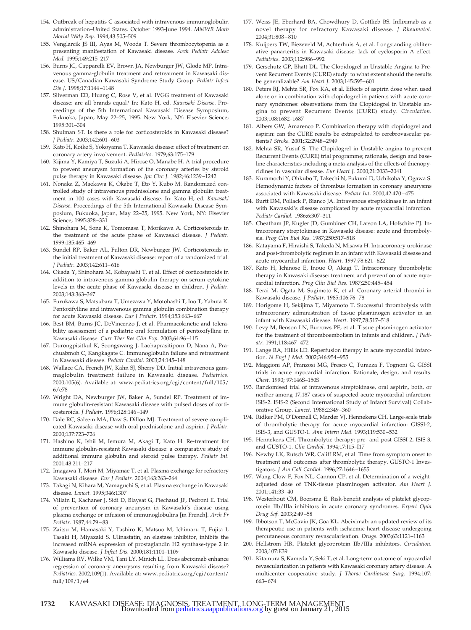- 154. Outbreak of hepatitis C associated with intravenous immunoglobulin administration–United States. October 1993-June 1994. *MMWR Morb Mortal Wkly Rep.* 1994;43:505–509
- 155. Venglarcik JS III, Ayas M, Woods T. Severe thrombocytopenia as a presenting manifestation of Kawasaki disease. *Arch Pediatr Adolesc Med.* 1995;149:215–217
- 156. Burns JC, Capparelli EV, Brown JA, Newburger JW, Glode MP. Intravenous gamma-globulin treatment and retreatment in Kawasaki disease. US/Canadian Kawasaki Syndrome Study Group. *Pediatr Infect Dis J.* 1998;17:1144 –1148
- 157. Silverman ED, Huang C, Rose V, et al. IVGG treatment of Kawasaki disease: are all brands equal? In: Kato H, ed. *Kawasaki Disease*. Proceedings of the 5th International Kawasaki Disease Symposium, Fukuoka, Japan, May 22–25, 1995. New York, NY: Elsevier Science; 1995:301–304
- 158. Shulman ST. Is there a role for corticosteroids in Kawasaki disease? *J Pediatr.* 2003;142:601– 603
- 159. Kato H, Koike S, Yokoyama T. Kawasaki disease: effect of treatment on coronary artery involvement. *Pediatrics.* 1979;63:175–179
- 160. Kijima Y, Kamiya T, Suzuki A, Hirose O, Manabe H. A trial procedure to prevent aneurysm formation of the coronary arteries by steroid pulse therapy in Kawasaki disease. *Jpn Circ J.* 1982;46:1239 –1242
- 161. Nonaka Z, Maekawa K, Okabe T, Eto Y, Kubo M. Randomized controlled study of intravenous prednisolone and gamma globulin treatment in 100 cases with Kawasaki disease. In: Kato H, ed. *Kawasaki Disease*. Proceedings of the 5th International Kawasaki Disease Symposium, Fukuoka, Japan, May 22–25, 1995. New York, NY: Elsevier Science; 1995:328 –331
- 162. Shinohara M, Sone K, Tomomasa T, Morikawa A. Corticosteroids in the treatment of the acute phase of Kawasaki disease. *J Pediatr.* 1999;135:465– 469
- 163. Sundel RP, Baker AL, Fulton DR, Newburger JW. Corticosteroids in the initial treatment of Kawasaki disease: report of a randomized trial. *J Pediatr.* 2003;142:611– 616
- 164. Okada Y, Shinohara M, Kobayashi T, et al. Effect of corticosteroids in addition to intravenous gamma globulin therapy on serum cytokine levels in the acute phase of Kawasaki disease in children. *J Pediatr.* 2003;143:363–367
- 165. Furukawa S, Matsubara T, Umezawa Y, Motohashi T, Ino T, Yabuta K. Pentoxifylline and intravenous gamma globulin combination therapy for acute Kawasaki disease. *Eur J Pediatr.* 1994;153:663– 667
- 166. Best BM, Burns JC, DeVincenzo J, et al. Pharmacokinetic and tolerability assessment of a pediatric oral formulation of pentoxifylline in Kawasaki disease. *Curr Ther Res Clin Exp.* 2003;64:96 –115
- 167. Durongpisitkul K, Soongswang J, Laohaprasitiporn D, Nana A, Prachuabmoh C, Kangkagate C. Immunoglobulin failure and retreatment in Kawasaki disease. *Pediatr Cardiol.* 2003;24:145–148
- 168. Wallace CA, French JW, Kahn SJ, Sherry DD. Initial intravenous gammaglobulin treatment failure in Kawasaki disease. *Pediatrics.* 2000;105(6). Available at: www.pediatrics.org/cgi/content/full/105/ 6/e78
- 169. Wright DA, Newburger JW, Baker A, Sundel RP. Treatment of immune globulin-resistant Kawasaki disease with pulsed doses of corticosteroids. *J Pediatr.* 1996;128:146 –149
- 170. Dale RC, Saleem MA, Daw S, Dillon MJ. Treatment of severe complicated Kawasaki disease with oral prednisolone and aspirin. *J Pediatr.* 2000;137:723–726
- 171. Hashino K, Ishii M, Iemura M, Akagi T, Kato H. Re-treatment for immune globulin-resistant Kawasaki disease: a comparative study of additional immune globulin and steroid pulse therapy. *Pediatr Int.* 2001;43:211–217
- 172. Imagawa T, Mori M, Miyamae T, et al. Plasma exchange for refractory Kawasaki disease. *Eur J Pediatr.* 2004;163:263–264
- 173. Takagi N, Kihara M, Yamaguchi S, et al. Plasma exchange in Kawasaki disease. *Lancet.* 1995;346:1307
- 174. Villain E, Kachaner J, Sidi D, Blaysat G, Piechaud JF, Pedroni E. Trial of prevention of coronary aneurysm in Kawasaki's disease using plasma exchange or infusion of immunoglobulins [in French]. *Arch Fr Pediatr.* 1987;44:79 – 83
- 175. Zaitsu M, Hamasaki Y, Tashiro K, Matsuo M, Ichimaru T, Fujita I, Tasaki H, Miyazaki S. Ulinastatin, an elastase inhibitor, inhibits the increased mRNA expression of prostaglandin H2 synthase-type 2 in Kawasaki disease. *J Infect Dis.* 2000;181:1101–1109
- 176. Williams RV, Wilke VM, Tani LY, Minich LL. Does abciximab enhance regression of coronary aneurysms resulting from Kawasaki disease? *Pediatrics.* 2002;109(1). Available at: www.pediatrics.org/cgi/content/ full/109/1/e4
- 177. Weiss JE, Eberhard BA, Chowdhury D, Gottlieb BS. Infliximab as a novel therapy for refractory Kawasaki disease. *J Rheumatol.* 2004;31:808 – 810
- 178. Kuijpers TW, Biezeveld M, Achterhuis A, et al. Longstanding obliterative panarteritis in Kawasaki disease: lack of cyclosporin A effect. *Pediatrics.* 2003;112:986 –992
- 179. Gerschutz GP, Bhatt DL. The Clopidogrel in Unstable Angina to Prevent Recurrent Events (CURE) study: to what extent should the results be generalizable? *Am Heart J.* 2003;145:595– 601
- 180. Peters RJ, Mehta SR, Fox KA, et al. Effects of aspirin dose when used alone or in combination with clopidogrel in patients with acute coronary syndromes: observations from the Clopidogrel in Unstable angina to prevent Recurrent Events (CURE) study. *Circulation.* 2003;108:1682–1687
- 181. Albers GW, Amarenco P. Combination therapy with clopidogrel and aspirin: can the CURE results be extrapolated to cerebrovascular patients? *Stroke.* 2001;32:2948 –2949
- 182. Mehta SR, Yusuf S. The Clopidogrel in Unstable angina to prevent Recurrent Events (CURE) trial programme; rationale, design and baseline characteristics including a meta-analysis of the effects of thienopyridines in vascular disease. *Eur Heart J.* 2000;21:2033–2041
- 183. Kuramochi Y, Ohkubo T, Takechi N, Fukumi D, Uchikoba Y, Ogawa S. Hemodynamic factors of thrombus formation in coronary aneurysms associated with Kawasaki disease. *Pediatr Int.* 2000;42:470 – 475
- 184. Burtt DM, Pollack P, Bianco JA. Intravenous streptokinase in an infant with Kawasaki's disease complicated by acute myocardial infarction. *Pediatr Cardiol.* 1986;6:307–311
- 185. Cheatham JP, Kugler JD, Gumbiner CH, Latson LA, Hofschire PJ. Intracoronary streptokinase in Kawasaki disease: acute and thrombolysis. *Prog Clin Biol Res.* 1987;250:517–518
- 186. Katayama F, Hiraishi S, Takeda N, Misawa H. Intracoronary urokinase and post-thrombolytic regimen in an infant with Kawasaki disease and acute myocardial infarction. *Heart.* 1997;78:621– 622
- 187. Kato H, Ichinose E, Inoue O, Akagi T. Intracoronary thrombolytic therapy in Kawasaki disease: treatment and prevention of acute myocardial infarction. *Prog Clin Biol Res.* 1987;250:445– 454
- 188. Terai M, Ogata M, Sugimoto K, et al. Coronary arterial thrombi in Kawasaki disease. *J Pediatr.* 1985;106:76 –78
- 189. Horigome H, Sekijima T, Miyamoto T. Successful thrombolysis with intracoronary administration of tissue plasminogen activator in an infant with Kawasaki disease. *Heart.* 1997;78:517–518
- 190. Levy M, Benson LN, Burrows PE, et al. Tissue plasminogen activator for the treatment of thromboembolism in infants and children. *J Pediatr.* 1991;118:467– 472
- 191. Lange RA, Hillis LD. Reperfusion therapy in acute myocardial infarction. *N Engl J Med.* 2002;346:954 –955
- 192. Maggioni AP, Franzosi MG, Fresco C, Turazza F, Tognoni G. GISSI trials in acute myocardial infarction. Rationale, design, and results. *Chest.* 1990; 97:146S–150S
- 193. Randomised trial of intravenous streptokinase, oral aspirin, both, or neither among 17,187 cases of suspected acute myocardial infarction: ISIS-2. ISIS-2 (Second International Study of Infarct Survival) Collaborative Group. *Lancet.* 1988;2:349 –360
- 194. Ridker PM, O'Donnell C, Marder VJ, Hennekens CH. Large-scale trials of thrombolytic therapy for acute myocardial infarction: GISSI-2, ISIS-3, and GUSTO-1. *Ann Intern Med.* 1993;119:530 –532
- 195. Hennekens CH. Thrombolytic therapy: pre- and post-GISSI-2, ISIS-3, and GUSTO-1. *Clin Cardiol.* 1994;17:I15–I17
- 196. Newby LK, Rutsch WR, Califf RM, et al. Time from symptom onset to treatment and outcomes after thrombolytic therapy. GUSTO-1 Investigators. *J Am Coll Cardiol.* 1996;27:1646 –1655
- 197. Wang-Clow F, Fox NL, Cannon CP, et al. Determination of a weightadjusted dose of TNK-tissue plasminogen activator. *Am Heart J.* 2001;141:33– 40
- 198. Westerhout CM, Boersma E. Risk-benefit analysis of platelet glycoprotein IIb/IIIa inhibitors in acute coronary syndromes. *Expert Opin Drug Saf.* 2003;2:49 –58
- 199. Ibbotson T, McGavin JK, Goa KL. Abciximab: an updated review of its therapeutic use in patients with ischaemic heart disease undergoing percutaneous coronary revascularisation. *Drugs.* 2003;63:1121–1163
- 200. Hellstrom HR. Platelet glycoprotein IIb/IIIa inhibitors. *Circulation.* 2003;107:E39
- 201. Kitamura S, Kameda Y, Seki T, et al. Long-term outcome of myocardial revascularization in patients with Kawasaki coronary artery disease. A multicenter cooperative study. *J Thorac Cardiovasc Surg.* 1994;107: 663– 674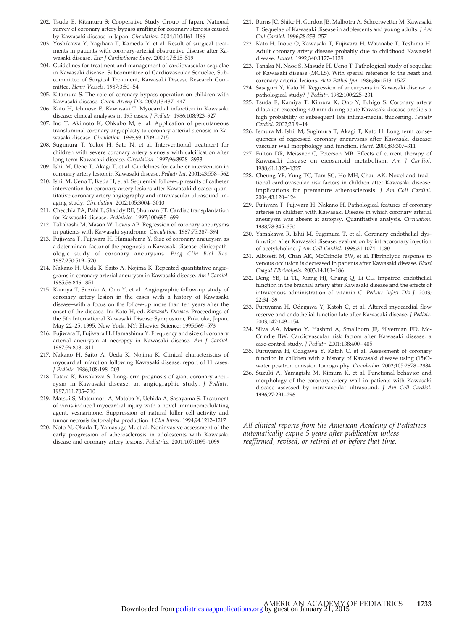- 202. Tsuda E, Kitamura S; Cooperative Study Group of Japan. National survey of coronary artery bypass grafting for coronary stenosis caused by Kawasaki disease in Japan. *Circulation.* 2004;110:II61–II66
- 203. Yoshikawa Y, Yagihara T, Kameda Y, et al. Result of surgical treatments in patients with coronary-arterial obstructive disease after Kawasaki disease. *Eur J Cardiothorac Surg.* 2000;17:515–519
- 204. Guidelines for treatment and management of cardiovascular sequelae in Kawasaki disease. Subcommittee of Cardiovascular Sequelae, Subcommittee of Surgical Treatment, Kawasaki Disease Research Committee. *Heart Vessels.* 1987;3:50 –54
- 205. Kitamura S. The role of coronary bypass operation on children with Kawasaki disease. *Coron Artery Dis.* 2002;13:437– 447
- 206. Kato H, Ichinose E, Kawasaki T. Myocardial infarction in Kawasaki disease: clinical analyses in 195 cases. *J Pediatr.* 1986;108:923–927
- 207. Ino T, Akimoto K, Ohkubo M, et al. Application of percutaneous transluminal coronary angioplasty to coronary arterial stenosis in Kawasaki disease. *Circulation.* 1996;93:1709 –1715
- 208. Sugimura T, Yokoi H, Sato N, et al. Interventional treatment for children with severe coronary artery stenosis with calcification after long-term Kawasaki disease. *Circulation.* 1997;96:3928 –3933
- 209. Ishii M, Ueno T, Akagi T, et al. Guidelines for catheter intervention in coronary artery lesion in Kawasaki disease. *Pediatr Int.* 2001;43:558 –562
- 210. Ishii M, Ueno T, Ikeda H, et al. Sequential follow-up results of catheter intervention for coronary artery lesions after Kawasaki disease: quantitative coronary artery angiography and intravascular ultrasound imaging study. *Circulation.* 2002;105:3004 –3010
- 211. Checchia PA, Pahl E, Shaddy RE, Shulman ST. Cardiac transplantation for Kawasaki disease. *Pediatrics.* 1997;100:695– 699
- 212. Takahashi M, Mason W, Lewis AB. Regression of coronary aneurysms in patients with Kawasaki syndrome. *Circulation.* 1987;75:387–394
- 213. Fujiwara T, Fujiwara H, Hamashima Y. Size of coronary aneurysm as a determinant factor of the prognosis in Kawasaki disease: clinicopathologic study of coronary aneurysms. *Prog Clin Biol Res.* 1987;250:519 –520
- 214. Nakano H, Ueda K, Saito A, Nojima K. Repeated quantitative angiograms in coronary arterial aneurysm in Kawasaki disease. *Am J Cardiol.* 1985;56:846 – 851
- 215. Kamiya T, Suzuki A, Ono Y, et al. Angiographic follow-up study of coronary artery lesion in the cases with a history of Kawasaki disease–with a focus on the follow-up more than ten years after the onset of the disease. In: Kato H, ed. *Kawasaki Disease*. Proceedings of the 5th International Kawasaki Disease Symposium, Fukuoka, Japan, May 22–25, 1995. New York, NY: Elsevier Science; 1995:569 –573
- 216. Fujiwara T, Fujiwara H, Hamashima Y. Frequency and size of coronary arterial aneurysm at necropsy in Kawasaki disease. *Am J Cardiol.* 1987;59:808 – 811
- 217. Nakano H, Saito A, Ueda K, Nojima K. Clinical characteristics of myocardial infarction following Kawasaki disease: report of 11 cases. *J Pediatr.* 1986;108:198 –203
- 218. Tatara K, Kusakawa S. Long-term prognosis of giant coronary aneurysm in Kawasaki disease: an angiographic study. *J Pediatr.* 1987;111:705–710
- 219. Matsui S, Matsumori A, Matoba Y, Uchida A, Sasayama S. Treatment of virus-induced myocardial injury with a novel immunomodulating agent, vesnarinone. Suppression of natural killer cell activity and tumor necrosis factor-alpha production. *J Clin Invest.* 1994;94:1212–1217
- 220. Noto N, Okada T, Yamasuge M, et al. Noninvasive assessment of the early progression of atherosclerosis in adolescents with Kawasaki disease and coronary artery lesions. *Pediatrics.* 2001;107:1095–1099
- 221. Burns JC, Shike H, Gordon JB, Malhotra A, Schoenwetter M, Kawasaki T. Sequelae of Kawasaki disease in adolescents and young adults. *J Am Coll Cardiol.* 1996;28:253–257
- 222. Kato H, Inoue O, Kawasaki T, Fujiwara H, Watanabe T, Toshima H. Adult coronary artery disease probably due to childhood Kawasaki disease. *Lancet.* 1992;340:1127–1129
- 223. Tanaka N, Naoe S, Masuda H, Ueno T. Pathological study of sequelae of Kawasaki disease (MCLS). With special reference to the heart and coronary arterial lesions. *Acta Pathol Jpn.* 1986;36:1513–1527
- 224. Sasaguri Y, Kato H. Regression of aneurysms in Kawasaki disease: a pathological study? *J Pediatr.* 1982;100:225–231
- 225. Tsuda E, Kamiya T, Kimura K, Ono Y, Echigo S. Coronary artery dilatation exceeding 4.0 mm during acute Kawasaki disease predicts a high probability of subsequent late intima-medial thickening. *Pediatr Cardiol.* 2002;23:9 –14
- 226. Iemura M, Ishii M, Sugimura T, Akagi T, Kato H. Long term consequences of regressed coronary aneurysms after Kawasaki disease: vascular wall morphology and function. *Heart.* 2000;83:307–311
- 227. Fulton DR, Meissner C, Peterson MB. Effects of current therapy of Kawasaki disease on eicosanoid metabolism. *Am J Cardiol.* 1988;61:1323–1327
- 228. Cheung YF, Yung TC, Tam SC, Ho MH, Chau AK. Novel and traditional cardiovascular risk factors in children after Kawasaki disease: implications for premature atherosclerosis. *J Am Coll Cardiol.* 2004;43:120 –124
- 229. Fujiwara T, Fujiwara H, Nakano H. Pathological features of coronary arteries in children with Kawasaki Disease in which coronary arterial aneurysm was absent at autopsy. Quantitative analysis. *Circulation.* 1988;78:345–350
- 230. Yamakawa R, Ishii M, Sugimura T, et al. Coronary endothelial dysfunction after Kawasaki disease: evaluation by intracoronary injection of acetylcholine. *J Am Coll Cardiol.* 1998;31:1074 –1080
- 231. Albisetti M, Chan AK, McCrindle BW, et al. Fibrinolytic response to venous occlusion is decreased in patients after Kawasaki disease. *Blood Coagul Fibrinolysis.* 2003;14:181–186
- 232. Deng YB, Li TL, Xiang HJ, Chang Q, Li CL. Impaired endothelial function in the brachial artery after Kawasaki disease and the effects of intravenous administration of vitamin C. *Pediatr Infect Dis J.* 2003; 22:34 –39
- 233. Furuyama H, Odagawa Y, Katoh C, et al. Altered myocardial flow reserve and endothelial function late after Kawasaki disease. *J Pediatr.* 2003;142:149 –154
- 234. Silva AA, Maeno Y, Hashmi A, Smallhorn JF, Silverman ED, Mc-Crindle BW. Cardiovascular risk factors after Kawasaki disease: a case-control study. *J Pediatr.* 2001;138:400 – 405
- 235. Furuyama H, Odagawa Y, Katoh C, et al. Assessment of coronary function in children with a history of Kawasaki disease using (15)Owater positron emission tomography. *Circulation.* 2002;105:2878 –2884
- 236. Suzuki A, Yamagishi M, Kimura K, et al. Functional behavior and morphology of the coronary artery wall in patients with Kawasaki disease assessed by intravascular ultrasound. *J Am Coll Cardiol.* 1996;27:291–296

*All clinical reports from the American Academy of Pediatrics automatically expire 5 years after publication unless reaffirmed, revised, or retired at or before that time.*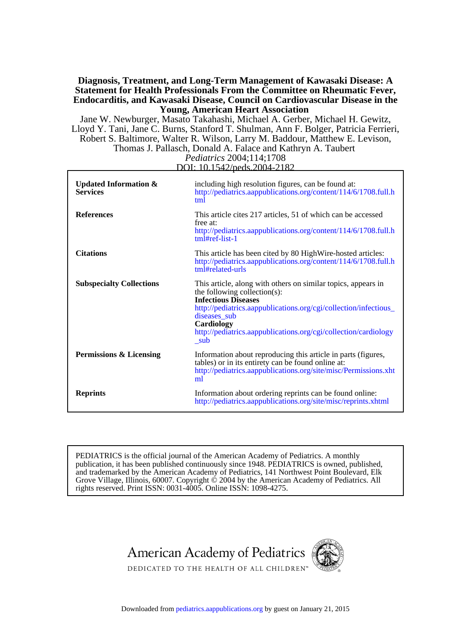# **Young, American Heart Association Endocarditis, and Kawasaki Disease, Council on Cardiovascular Disease in the Statement for Health Professionals From the Committee on Rheumatic Fever, Diagnosis, Treatment, and Long-Term Management of Kawasaki Disease: A**

*Pediatrics* 2004;114;1708 Thomas J. Pallasch, Donald A. Falace and Kathryn A. Taubert Robert S. Baltimore, Walter R. Wilson, Larry M. Baddour, Matthew E. Levison, Lloyd Y. Tani, Jane C. Burns, Stanford T. Shulman, Ann F. Bolger, Patricia Ferrieri, Jane W. Newburger, Masato Takahashi, Michael A. Gerber, Michael H. Gewitz,

| DOI: 10.1542/peds.2004-2182                         |                                                                                                                                                                                                                                                                                                         |  |
|-----------------------------------------------------|---------------------------------------------------------------------------------------------------------------------------------------------------------------------------------------------------------------------------------------------------------------------------------------------------------|--|
| <b>Updated Information &amp;</b><br><b>Services</b> | including high resolution figures, can be found at:<br>http://pediatrics.aappublications.org/content/114/6/1708.full.h<br>tml                                                                                                                                                                           |  |
| <b>References</b>                                   | This article cites 217 articles, 51 of which can be accessed<br>free at:<br>http://pediatrics.aappublications.org/content/114/6/1708.full.h<br>tml#ref-list-1                                                                                                                                           |  |
| <b>Citations</b>                                    | This article has been cited by 80 High Wire-hosted articles:<br>http://pediatrics.aappublications.org/content/114/6/1708.full.h<br>tml#related-urls                                                                                                                                                     |  |
| <b>Subspecialty Collections</b>                     | This article, along with others on similar topics, appears in<br>the following collection(s):<br><b>Infectious Diseases</b><br>http://pediatrics.aappublications.org/cgi/collection/infectious_<br>diseases_sub<br>Cardiology<br>http://pediatrics.aappublications.org/cgi/collection/cardiology<br>sub |  |
| <b>Permissions &amp; Licensing</b>                  | Information about reproducing this article in parts (figures,<br>tables) or in its entirety can be found online at:<br>http://pediatrics.aappublications.org/site/misc/Permissions.xht<br>ml                                                                                                            |  |
| <b>Reprints</b>                                     | Information about ordering reprints can be found online:<br>http://pediatrics.aappublications.org/site/misc/reprints.xhtml                                                                                                                                                                              |  |

rights reserved. Print ISSN: 0031-4005. Online ISSN: 1098-4275. Grove Village, Illinois, 60007. Copyright  $\ddot{\odot}$  2004 by the American Academy of Pediatrics. All and trademarked by the American Academy of Pediatrics, 141 Northwest Point Boulevard, Elk publication, it has been published continuously since 1948. PEDIATRICS is owned, published, PEDIATRICS is the official journal of the American Academy of Pediatrics. A monthly